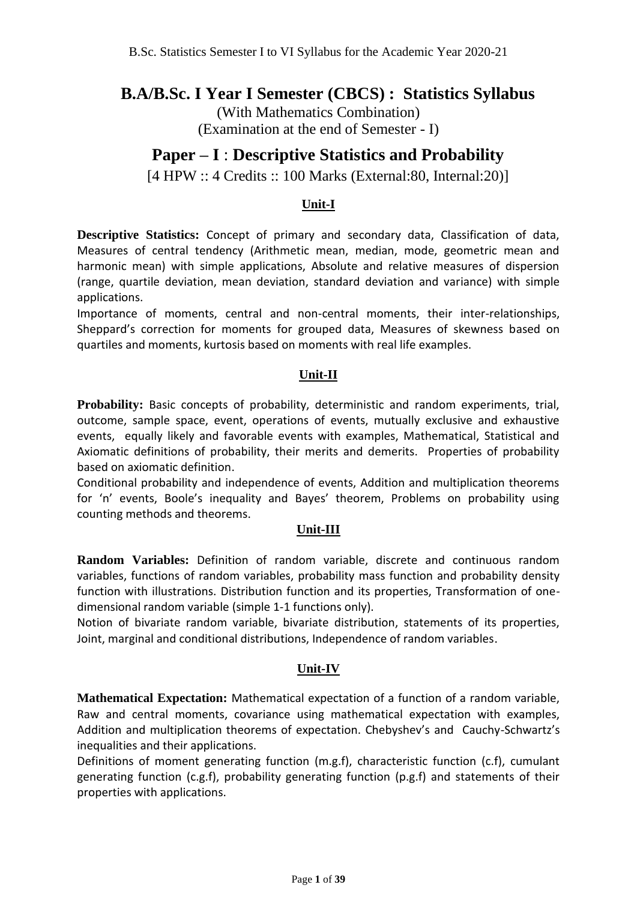## **B.A/B.Sc. I Year I Semester (CBCS) : Statistics Syllabus**

(With Mathematics Combination) (Examination at the end of Semester - I)

## **Paper – I** : **Descriptive Statistics and Probability**

[4 HPW :: 4 Credits :: 100 Marks (External:80, Internal:20)]

### **Unit-I**

**Descriptive Statistics:** Concept of primary and secondary data, Classification of data, Measures of central tendency (Arithmetic mean, median, mode, geometric mean and harmonic mean) with simple applications, Absolute and relative measures of dispersion (range, quartile deviation, mean deviation, standard deviation and variance) with simple applications.

Importance of moments, central and non-central moments, their inter-relationships, Sheppard's correction for moments for grouped data, Measures of skewness based on quartiles and moments, kurtosis based on moments with real life examples.

### **Unit-II**

**Probability:** Basic concepts of probability, deterministic and random experiments, trial, outcome, sample space, event, operations of events, mutually exclusive and exhaustive events, equally likely and favorable events with examples, Mathematical, Statistical and Axiomatic definitions of probability, their merits and demerits. Properties of probability based on axiomatic definition.

Conditional probability and independence of events, Addition and multiplication theorems for 'n' events, Boole's inequality and Bayes' theorem, Problems on probability using counting methods and theorems.

#### **Unit-III**

**Random Variables:** Definition of random variable, discrete and continuous random variables, functions of random variables, probability mass function and probability density function with illustrations. Distribution function and its properties, Transformation of onedimensional random variable (simple 1-1 functions only).

Notion of bivariate random variable, bivariate distribution, statements of its properties, Joint, marginal and conditional distributions, Independence of random variables.

#### **Unit-IV**

**Mathematical Expectation:** Mathematical expectation of a function of a random variable, Raw and central moments, covariance using mathematical expectation with examples, Addition and multiplication theorems of expectation. Chebyshev's and Cauchy-Schwartz's inequalities and their applications.

Definitions of moment generating function (m.g.f), characteristic function (c.f), cumulant generating function (c.g.f), probability generating function (p.g.f) and statements of their properties with applications.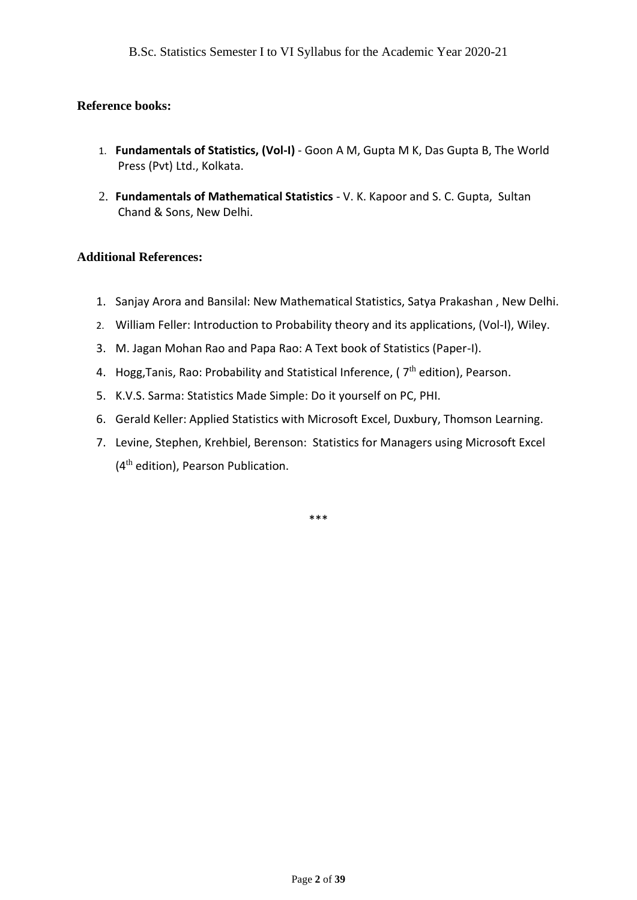#### **Reference books:**

- 1. **Fundamentals of Statistics, (Vol-I)** Goon A M, Gupta M K, Das Gupta B, The World Press (Pvt) Ltd., Kolkata.
- 2. **Fundamentals of Mathematical Statistics** V. K. Kapoor and S. C. Gupta, Sultan Chand & Sons, New Delhi.

#### **Additional References:**

- 1. Sanjay Arora and Bansilal: New Mathematical Statistics, Satya Prakashan , New Delhi.
- 2. William Feller: Introduction to Probability theory and its applications, (Vol-I), Wiley.
- 3. M. Jagan Mohan Rao and Papa Rao: A Text book of Statistics (Paper-I).
- 4. Hogg, Tanis, Rao: Probability and Statistical Inference, (  $7<sup>th</sup>$  edition), Pearson.
- 5. K.V.S. Sarma: Statistics Made Simple: Do it yourself on PC, PHI.
- 6. Gerald Keller: Applied Statistics with Microsoft Excel, Duxbury, Thomson Learning.
- 7. Levine, Stephen, Krehbiel, Berenson: Statistics for Managers using Microsoft Excel (4<sup>th</sup> edition), Pearson Publication.

\*\*\*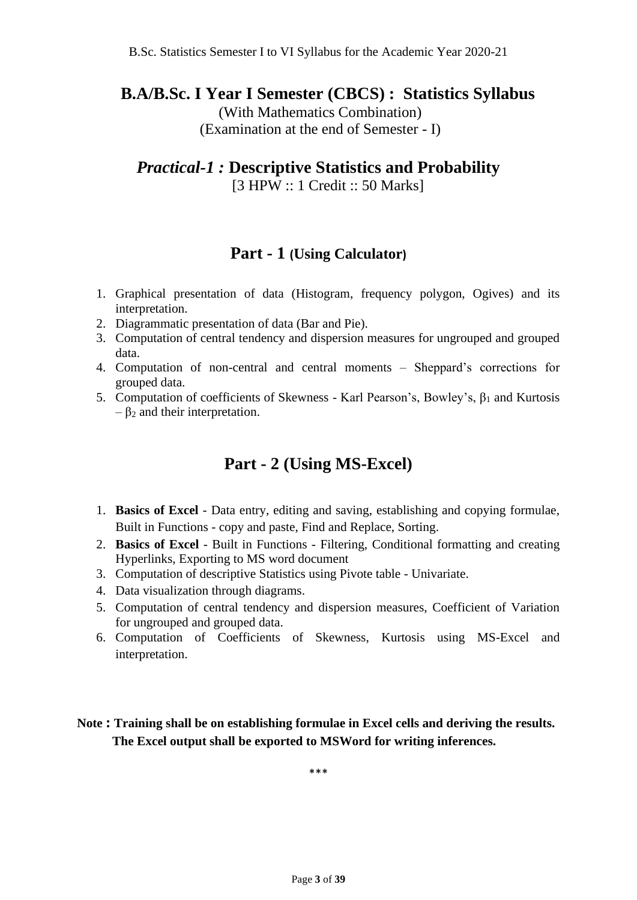## **B.A/B.Sc. I Year I Semester (CBCS) : Statistics Syllabus**

(With Mathematics Combination) (Examination at the end of Semester - I)

## *Practical-1 :* **Descriptive Statistics and Probability**

[3 HPW :: 1 Credit :: 50 Marks]

## **Part - 1 (Using Calculator)**

- 1. Graphical presentation of data (Histogram, frequency polygon, Ogives) and its interpretation.
- 2. Diagrammatic presentation of data (Bar and Pie).
- 3. Computation of central tendency and dispersion measures for ungrouped and grouped data.
- 4. Computation of non-central and central moments Sheppard's corrections for grouped data.
- 5. Computation of coefficients of Skewness Karl Pearson's, Bowley's,  $β<sub>1</sub>$  and Kurtosis  $-$  β<sub>2</sub> and their interpretation.

## **Part - 2 (Using MS-Excel)**

- 1. **Basics of Excel** Data entry, editing and saving, establishing and copying formulae, Built in Functions - copy and paste, Find and Replace, Sorting.
- 2. **Basics of Excel** Built in Functions Filtering, Conditional formatting and creating Hyperlinks, Exporting to MS word document
- 3. Computation of descriptive Statistics using Pivote table Univariate.
- 4. Data visualization through diagrams.
- 5. Computation of central tendency and dispersion measures, Coefficient of Variation for ungrouped and grouped data.
- 6. Computation of Coefficients of Skewness, Kurtosis using MS-Excel and interpretation.

**Note : Training shall be on establishing formulae in Excel cells and deriving the results. The Excel output shall be exported to MSWord for writing inferences.**

\*\*\*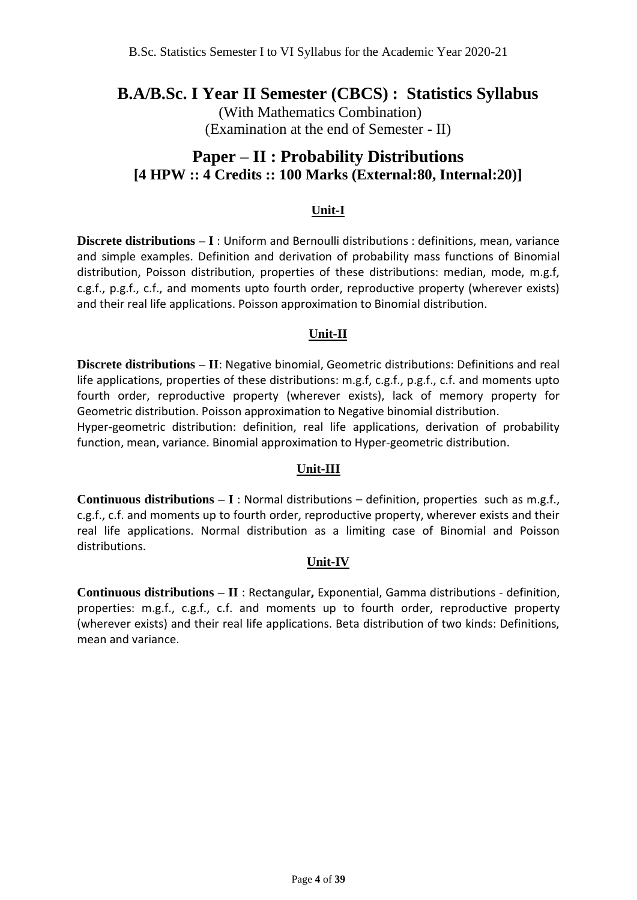## **B.A/B.Sc. I Year II Semester (CBCS) : Statistics Syllabus**

(With Mathematics Combination) (Examination at the end of Semester - II)

## **Paper – II : Probability Distributions [4 HPW :: 4 Credits :: 100 Marks (External:80, Internal:20)]**

### **Unit-I**

**Discrete distributions – I** : Uniform and Bernoulli distributions : definitions, mean, variance and simple examples. Definition and derivation of probability mass functions of Binomial distribution, Poisson distribution, properties of these distributions: median, mode, m.g.f, c.g.f., p.g.f., c.f., and moments upto fourth order, reproductive property (wherever exists) and their real life applications. Poisson approximation to Binomial distribution.

#### **Unit-II**

**Discrete distributions – II**: Negative binomial, Geometric distributions: Definitions and real life applications, properties of these distributions: m.g.f, c.g.f., p.g.f., c.f. and moments upto fourth order, reproductive property (wherever exists), lack of memory property for Geometric distribution. Poisson approximation to Negative binomial distribution.

Hyper-geometric distribution: definition, real life applications, derivation of probability function, mean, variance. Binomial approximation to Hyper-geometric distribution.

#### **Unit-III**

**Continuous distributions – I** : Normal distributions – definition, properties such as m.g.f., c.g.f., c.f. and moments up to fourth order, reproductive property, wherever exists and their real life applications. Normal distribution as a limiting case of Binomial and Poisson distributions.

#### **Unit-IV**

**Continuous distributions – II** : Rectangular**,** Exponential, Gamma distributions - definition, properties: m.g.f., c.g.f., c.f. and moments up to fourth order, reproductive property (wherever exists) and their real life applications. Beta distribution of two kinds: Definitions, mean and variance.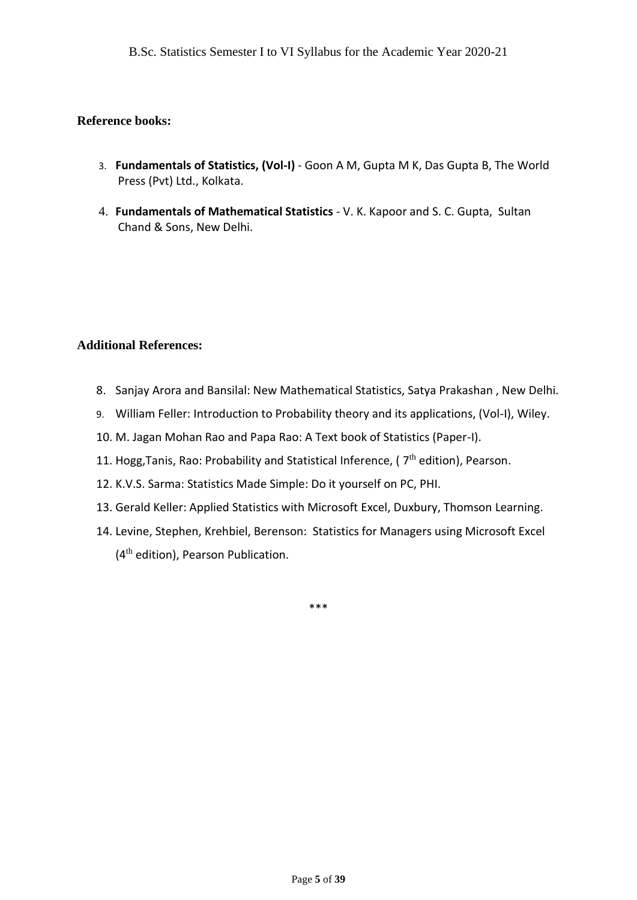#### **Reference books:**

- 3. **Fundamentals of Statistics, (Vol-I)** Goon A M, Gupta M K, Das Gupta B, The World Press (Pvt) Ltd., Kolkata.
- 4. **Fundamentals of Mathematical Statistics** V. K. Kapoor and S. C. Gupta, Sultan Chand & Sons, New Delhi.

#### **Additional References:**

- 8. Sanjay Arora and Bansilal: New Mathematical Statistics, Satya Prakashan , New Delhi.
- 9. William Feller: Introduction to Probability theory and its applications, (Vol-I), Wiley.
- 10. M. Jagan Mohan Rao and Papa Rao: A Text book of Statistics (Paper-I).
- 11. Hogg, Tanis, Rao: Probability and Statistical Inference, ( $7<sup>th</sup>$  edition), Pearson.
- 12. K.V.S. Sarma: Statistics Made Simple: Do it yourself on PC, PHI.
- 13. Gerald Keller: Applied Statistics with Microsoft Excel, Duxbury, Thomson Learning.
- 14. Levine, Stephen, Krehbiel, Berenson: Statistics for Managers using Microsoft Excel (4<sup>th</sup> edition), Pearson Publication.

\*\*\*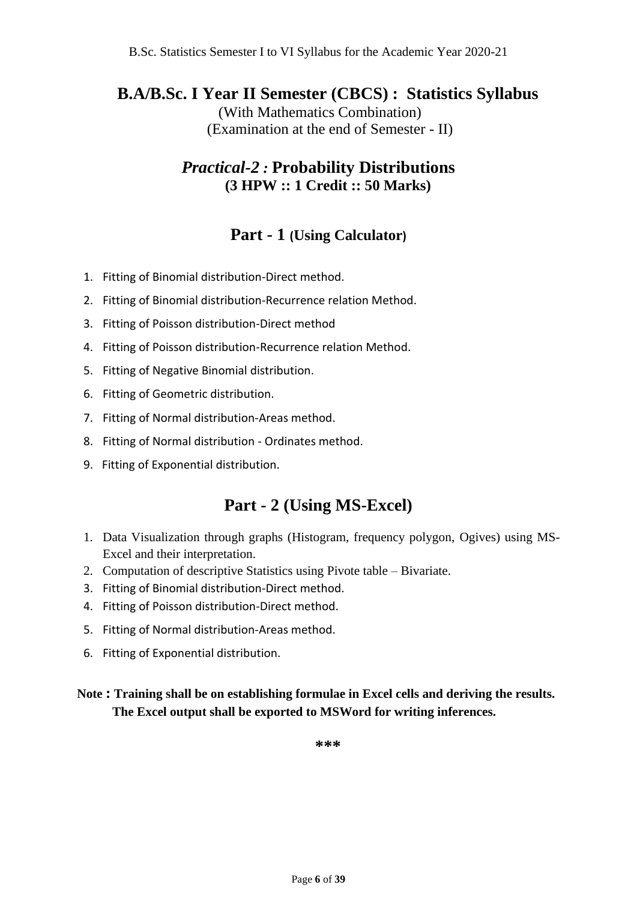## **B.A/B.Sc. I Year II Semester (CBCS) : Statistics Syllabus**

(With Mathematics Combination) (Examination at the end of Semester - II)

## *Practical-2 :* **Probability Distributions (3 HPW :: 1 Credit :: 50 Marks)**

## **Part - 1 (Using Calculator)**

- 1. Fitting of Binomial distribution-Direct method.
- 2. Fitting of Binomial distribution-Recurrence relation Method.
- 3. Fitting of Poisson distribution-Direct method
- 4. Fitting of Poisson distribution-Recurrence relation Method.
- 5. Fitting of Negative Binomial distribution.
- 6. Fitting of Geometric distribution.
- 7. Fitting of Normal distribution-Areas method.
- 8. Fitting of Normal distribution Ordinates method.
- 9. Fitting of Exponential distribution.

## **Part - 2 (Using MS-Excel)**

- 1. Data Visualization through graphs (Histogram, frequency polygon, Ogives) using MS-Excel and their interpretation.
- 2. Computation of descriptive Statistics using Pivote table Bivariate.
- 3. Fitting of Binomial distribution-Direct method.
- 4. Fitting of Poisson distribution-Direct method.
- 5. Fitting of Normal distribution-Areas method.
- 6. Fitting of Exponential distribution.

**Note : Training shall be on establishing formulae in Excel cells and deriving the results. The Excel output shall be exported to MSWord for writing inferences.**

**\*\*\***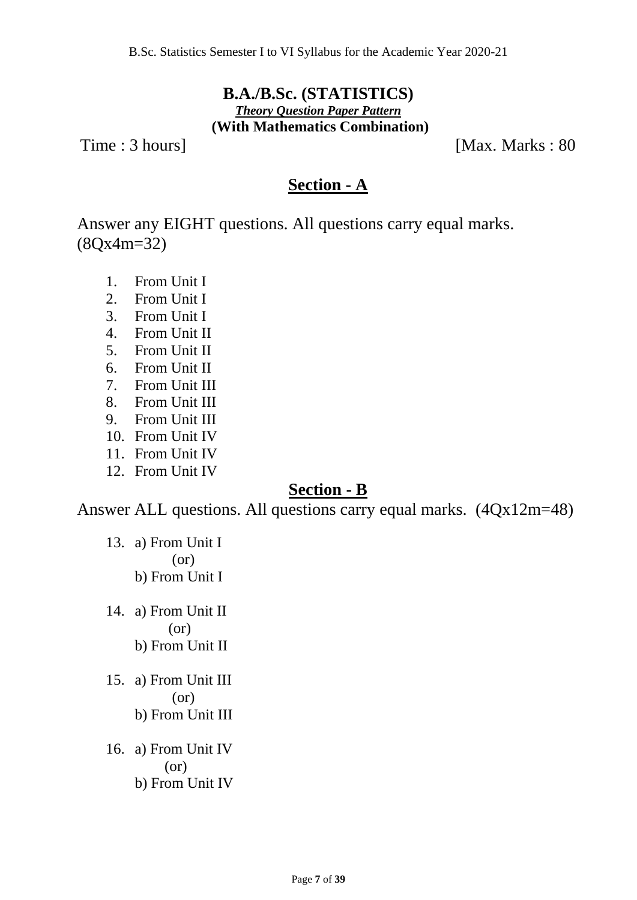## **B.A./B.Sc. (STATISTICS)** *Theory Question Paper Pattern* **(With Mathematics Combination)**

Time : 3 hours] [Max. Marks : 80]

## **Section - A**

Answer any EIGHT questions. All questions carry equal marks. (8Qx4m=32)

- 1. From Unit I
- 2. From Unit I
- 3. From Unit I
- 4. From Unit II
- 5. From Unit II
- 6. From Unit II
- 7. From Unit III
- 8. From Unit III
- 9. From Unit III
- 10. From Unit IV
- 11. From Unit IV
- 12. From Unit IV

## **Section - B**

Answer ALL questions. All questions carry equal marks. (4Qx12m=48)

- 13. a) From Unit I (or) b) From Unit I
- 14. a) From Unit II (or) b) From Unit II
- 15. a) From Unit III (or) b) From Unit III
- 16. a) From Unit IV (or) b) From Unit IV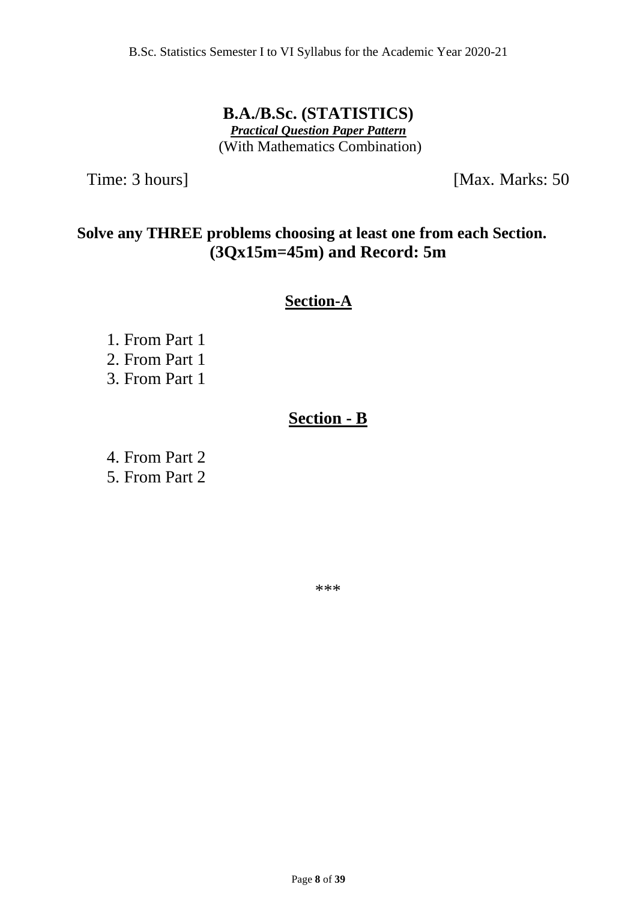**B.A./B.Sc. (STATISTICS)** *Practical Question Paper Pattern* (With Mathematics Combination)

Time: 3 hours] [Max. Marks: 50]

## **Solve any THREE problems choosing at least one from each Section. (3Qx15m=45m) and Record: 5m**

## **Section-A**

 1. From Part 1 2. From Part 1 3. From Part 1

## **Section - B**

 4. From Part 2 5. From Part 2

\*\*\*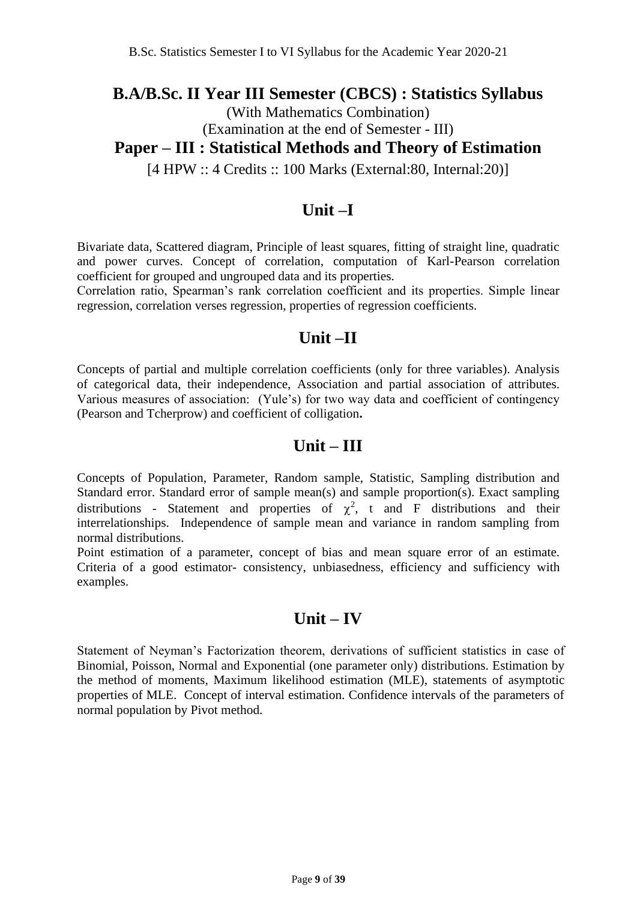## **B.A/B.Sc. II Year III Semester (CBCS) : Statistics Syllabus**

(With Mathematics Combination)

### (Examination at the end of Semester - III)

## **Paper – III : Statistical Methods and Theory of Estimation**

[4 HPW :: 4 Credits :: 100 Marks (External:80, Internal:20)]

## **Unit –I**

Bivariate data, Scattered diagram, Principle of least squares, fitting of straight line, quadratic and power curves. Concept of correlation, computation of Karl-Pearson correlation coefficient for grouped and ungrouped data and its properties.

Correlation ratio, Spearman's rank correlation coefficient and its properties. Simple linear regression, correlation verses regression, properties of regression coefficients.

## **Unit –II**

Concepts of partial and multiple correlation coefficients (only for three variables). Analysis of categorical data, their independence, Association and partial association of attributes. Various measures of association: (Yule's) for two way data and coefficient of contingency (Pearson and Tcherprow) and coefficient of colligation**.** 

## **Unit – III**

Concepts of Population, Parameter, Random sample, Statistic, Sampling distribution and Standard error. Standard error of sample mean(s) and sample proportion(s). Exact sampling distributions - Statement and properties of  $\chi^2$ , t and F distributions and their interrelationships. Independence of sample mean and variance in random sampling from normal distributions.

Point estimation of a parameter, concept of bias and mean square error of an estimate. Criteria of a good estimator- consistency, unbiasedness, efficiency and sufficiency with examples.

## **Unit – IV**

Statement of Neyman's Factorization theorem, derivations of sufficient statistics in case of Binomial, Poisson, Normal and Exponential (one parameter only) distributions. Estimation by the method of moments, Maximum likelihood estimation (MLE), statements of asymptotic properties of MLE. Concept of interval estimation. Confidence intervals of the parameters of normal population by Pivot method.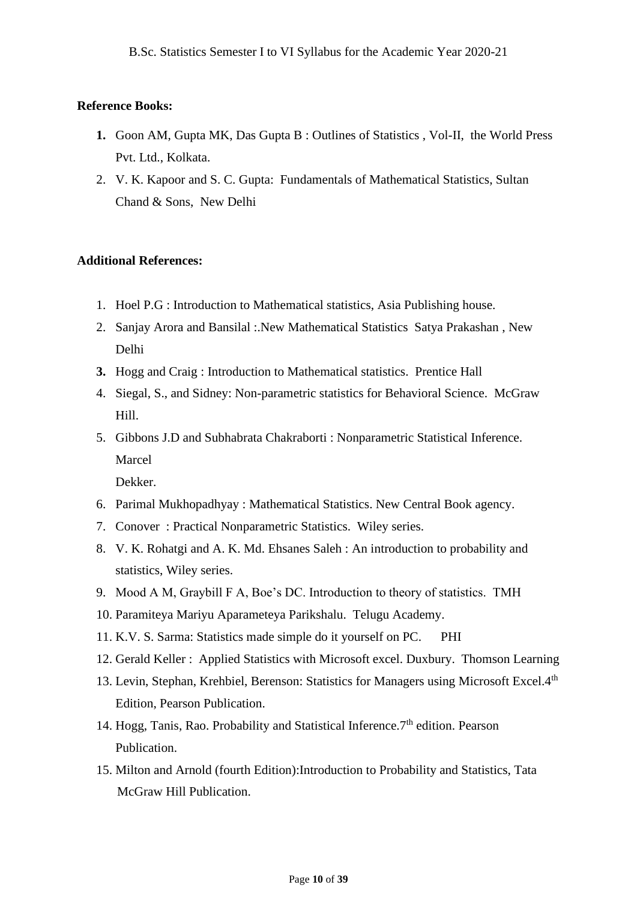#### **Reference Books:**

- **1.** Goon AM, Gupta MK, Das Gupta B : Outlines of Statistics , Vol-II, the World Press Pvt. Ltd., Kolkata.
- 2. V. K. Kapoor and S. C. Gupta: Fundamentals of Mathematical Statistics, Sultan Chand & Sons, New Delhi

#### **Additional References:**

- 1. Hoel P.G : Introduction to Mathematical statistics, Asia Publishing house.
- 2. Sanjay Arora and Bansilal :.New Mathematical Statistics Satya Prakashan , New Delhi
- **3.** Hogg and Craig : Introduction to Mathematical statistics. Prentice Hall
- 4. Siegal, S., and Sidney: Non-parametric statistics for Behavioral Science. McGraw Hill.
- 5. Gibbons J.D and Subhabrata Chakraborti : Nonparametric Statistical Inference. Marcel

Dekker.

- 6. Parimal Mukhopadhyay : Mathematical Statistics. New Central Book agency.
- 7. Conover : Practical Nonparametric Statistics. Wiley series.
- 8. V. K. Rohatgi and A. K. Md. Ehsanes Saleh : An introduction to probability and statistics, Wiley series.
- 9. Mood A M, Graybill F A, Boe's DC. Introduction to theory of statistics. TMH
- 10. Paramiteya Mariyu Aparameteya Parikshalu. Telugu Academy.
- 11. K.V. S. Sarma: Statistics made simple do it yourself on PC. PHI
- 12. Gerald Keller : Applied Statistics with Microsoft excel. Duxbury. Thomson Learning
- 13. Levin, Stephan, Krehbiel, Berenson: Statistics for Managers using Microsoft Excel.4<sup>th</sup> Edition, Pearson Publication.
- 14. Hogg, Tanis, Rao. Probability and Statistical Inference.  $7<sup>th</sup>$  edition. Pearson Publication.
- 15. Milton and Arnold (fourth Edition):Introduction to Probability and Statistics, Tata McGraw Hill Publication.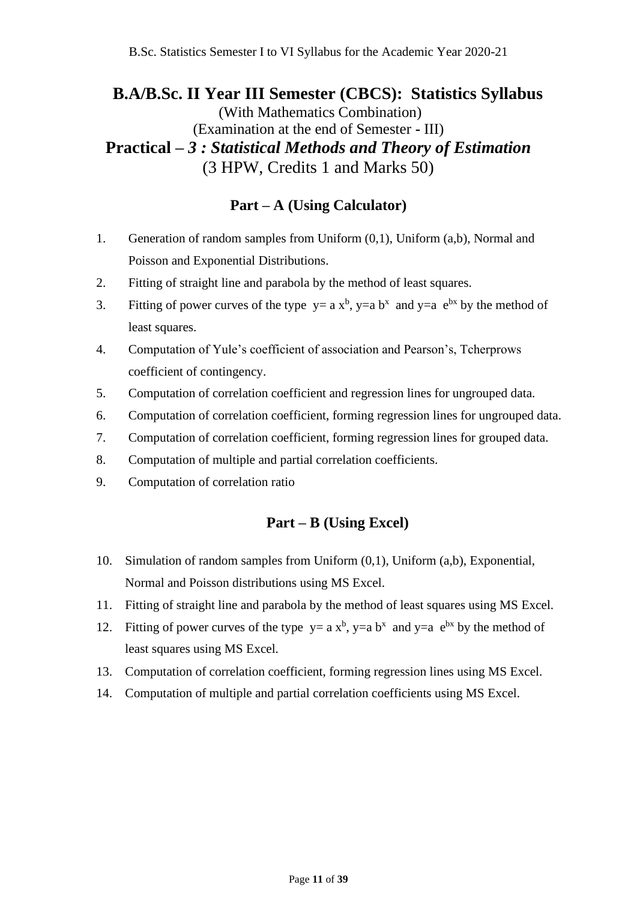## **B.A/B.Sc. II Year III Semester (CBCS): Statistics Syllabus** (With Mathematics Combination) (Examination at the end of Semester **-** III) **Practical** *– 3 : Statistical Methods and Theory of Estimation* (3 HPW, Credits 1 and Marks 50)

## **Part – A (Using Calculator)**

- 1. Generation of random samples from Uniform (0,1), Uniform (a,b), Normal and Poisson and Exponential Distributions.
- 2. Fitting of straight line and parabola by the method of least squares.
- 3. Fitting of power curves of the type  $y = a x^b$ ,  $y = a b^x$  and  $y = a e^{bx}$  by the method of least squares.
- 4. Computation of Yule's coefficient of association and Pearson's, Tcherprows coefficient of contingency.
- 5. Computation of correlation coefficient and regression lines for ungrouped data.
- 6. Computation of correlation coefficient, forming regression lines for ungrouped data.
- 7. Computation of correlation coefficient, forming regression lines for grouped data.
- 8. Computation of multiple and partial correlation coefficients.
- 9. Computation of correlation ratio

### **Part – B (Using Excel)**

- 10. Simulation of random samples from Uniform (0,1), Uniform (a,b), Exponential, Normal and Poisson distributions using MS Excel.
- 11. Fitting of straight line and parabola by the method of least squares using MS Excel.
- 12. Fitting of power curves of the type  $y = a x^b$ ,  $y = a b^x$  and  $y = a e^{bx}$  by the method of least squares using MS Excel.
- 13. Computation of correlation coefficient, forming regression lines using MS Excel.
- 14. Computation of multiple and partial correlation coefficients using MS Excel.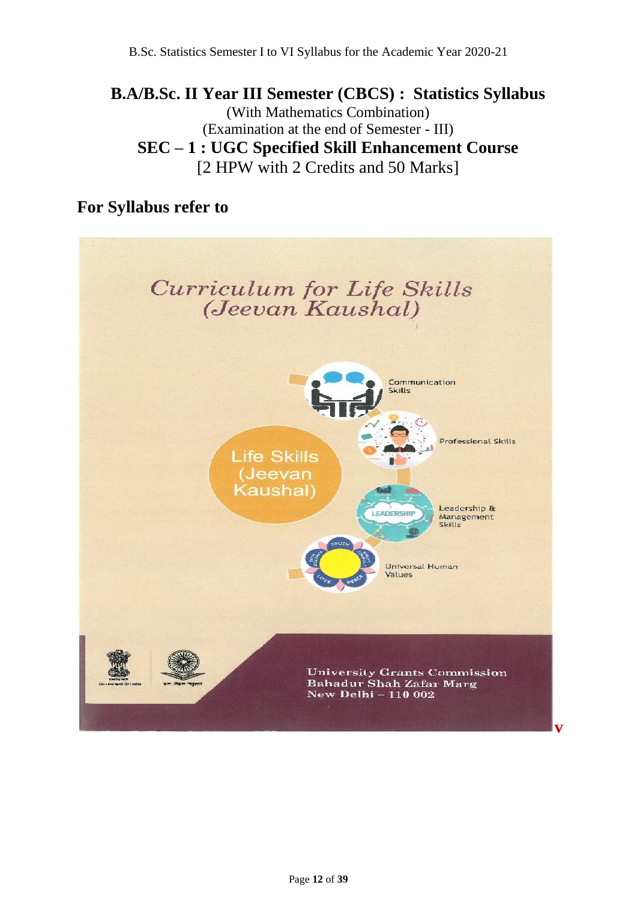## **B.A/B.Sc. II Year III Semester (CBCS) : Statistics Syllabus** (With Mathematics Combination) (Examination at the end of Semester - III) **SEC – 1 : UGC Specified Skill Enhancement Course** [2 HPW with 2 Credits and 50 Marks]

## **For Syllabus refer to**

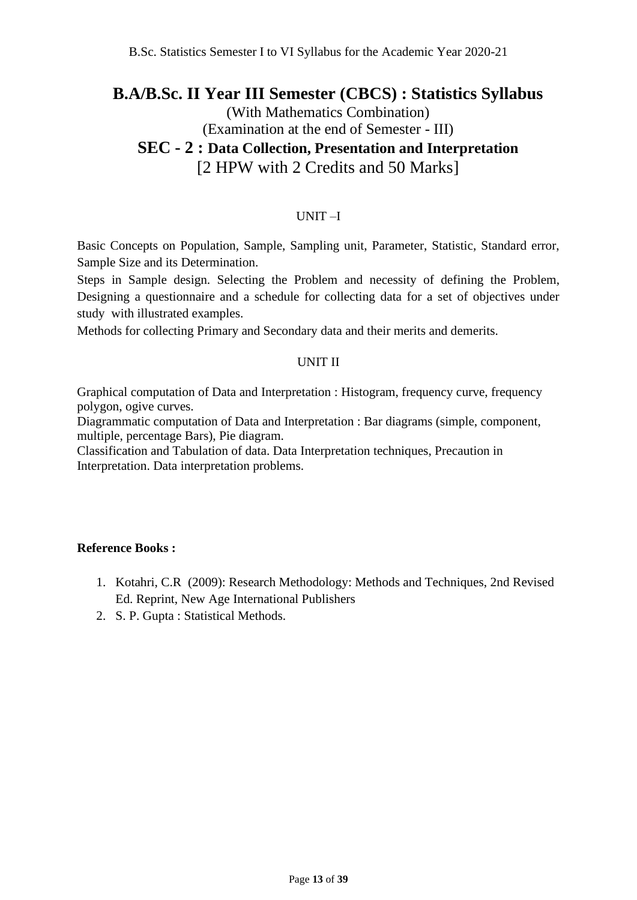## **B.A/B.Sc. II Year III Semester (CBCS) : Statistics Syllabus**

## (With Mathematics Combination) (Examination at the end of Semester - III) **SEC - 2 : Data Collection, Presentation and Interpretation**

# [2 HPW with 2 Credits and 50 Marks]

#### UNIT –I

Basic Concepts on Population, Sample, Sampling unit, Parameter, Statistic, Standard error, Sample Size and its Determination.

Steps in Sample design. Selecting the Problem and necessity of defining the Problem, Designing a questionnaire and a schedule for collecting data for a set of objectives under study with illustrated examples.

Methods for collecting Primary and Secondary data and their merits and demerits.

#### UNIT II

Graphical computation of Data and Interpretation : Histogram, frequency curve, frequency polygon, ogive curves.

Diagrammatic computation of Data and Interpretation : Bar diagrams (simple, component, multiple, percentage Bars), Pie diagram.

Classification and Tabulation of data. Data Interpretation techniques, Precaution in Interpretation. Data interpretation problems.

#### **Reference Books :**

- 1. Kotahri, C.R (2009): Research Methodology: Methods and Techniques, 2nd Revised Ed. Reprint, New Age International Publishers
- 2. S. P. Gupta : Statistical Methods.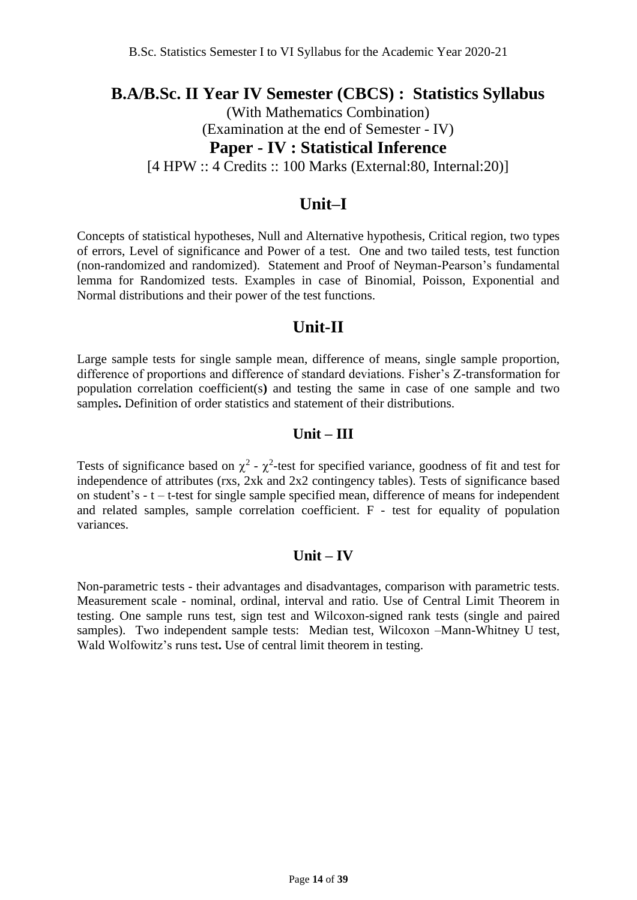## **B.A/B.Sc. II Year IV Semester (CBCS) : Statistics Syllabus**

(With Mathematics Combination) (Examination at the end of Semester - IV) **Paper - IV : Statistical Inference** 

[4 HPW :: 4 Credits :: 100 Marks (External:80, Internal:20)]

## **Unit–I**

Concepts of statistical hypotheses, Null and Alternative hypothesis, Critical region, two types of errors, Level of significance and Power of a test. One and two tailed tests, test function (non-randomized and randomized). Statement and Proof of Neyman-Pearson's fundamental lemma for Randomized tests. Examples in case of Binomial, Poisson, Exponential and Normal distributions and their power of the test functions.

## **Unit-II**

Large sample tests for single sample mean, difference of means, single sample proportion, difference of proportions and difference of standard deviations. Fisher's Z-transformation for population correlation coefficient(s**)** and testing the same in case of one sample and two samples**.** Definition of order statistics and statement of their distributions.

### **Unit – III**

Tests of significance based on  $\chi^2$  -  $\chi^2$ -test for specified variance, goodness of fit and test for independence of attributes (rxs, 2xk and 2x2 contingency tables). Tests of significance based on student's - t – t-test for single sample specified mean, difference of means for independent and related samples, sample correlation coefficient. F - test for equality of population variances.

### **Unit – IV**

Non-parametric tests - their advantages and disadvantages, comparison with parametric tests. Measurement scale - nominal, ordinal, interval and ratio. Use of Central Limit Theorem in testing. One sample runs test, sign test and Wilcoxon-signed rank tests (single and paired samples). Two independent sample tests: Median test, Wilcoxon –Mann-Whitney U test, Wald Wolfowitz's runs test**.** Use of central limit theorem in testing.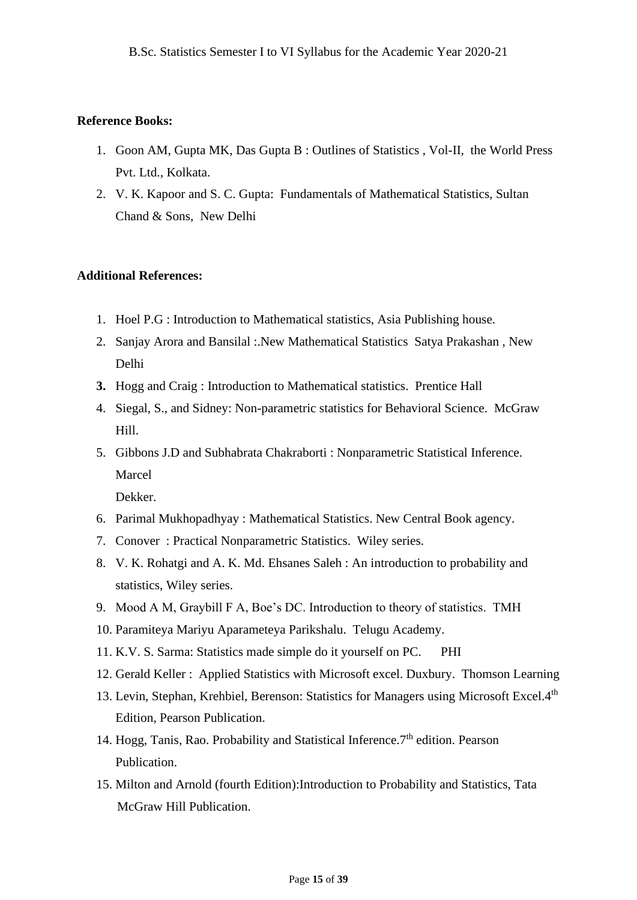#### **Reference Books:**

- 1. Goon AM, Gupta MK, Das Gupta B : Outlines of Statistics , Vol-II, the World Press Pvt. Ltd., Kolkata.
- 2. V. K. Kapoor and S. C. Gupta: Fundamentals of Mathematical Statistics, Sultan Chand & Sons, New Delhi

#### **Additional References:**

- 1. Hoel P.G : Introduction to Mathematical statistics, Asia Publishing house.
- 2. Sanjay Arora and Bansilal :.New Mathematical Statistics Satya Prakashan , New Delhi
- **3.** Hogg and Craig : Introduction to Mathematical statistics. Prentice Hall
- 4. Siegal, S., and Sidney: Non-parametric statistics for Behavioral Science. McGraw Hill.
- 5. Gibbons J.D and Subhabrata Chakraborti : Nonparametric Statistical Inference. Marcel

Dekker.

- 6. Parimal Mukhopadhyay : Mathematical Statistics. New Central Book agency.
- 7. Conover : Practical Nonparametric Statistics. Wiley series.
- 8. V. K. Rohatgi and A. K. Md. Ehsanes Saleh : An introduction to probability and statistics, Wiley series.
- 9. Mood A M, Graybill F A, Boe's DC. Introduction to theory of statistics. TMH
- 10. Paramiteya Mariyu Aparameteya Parikshalu. Telugu Academy.
- 11. K.V. S. Sarma: Statistics made simple do it yourself on PC. PHI
- 12. Gerald Keller : Applied Statistics with Microsoft excel. Duxbury. Thomson Learning
- 13. Levin, Stephan, Krehbiel, Berenson: Statistics for Managers using Microsoft Excel.4<sup>th</sup> Edition, Pearson Publication.
- 14. Hogg, Tanis, Rao. Probability and Statistical Inference.7<sup>th</sup> edition. Pearson Publication.
- 15. Milton and Arnold (fourth Edition):Introduction to Probability and Statistics, Tata McGraw Hill Publication.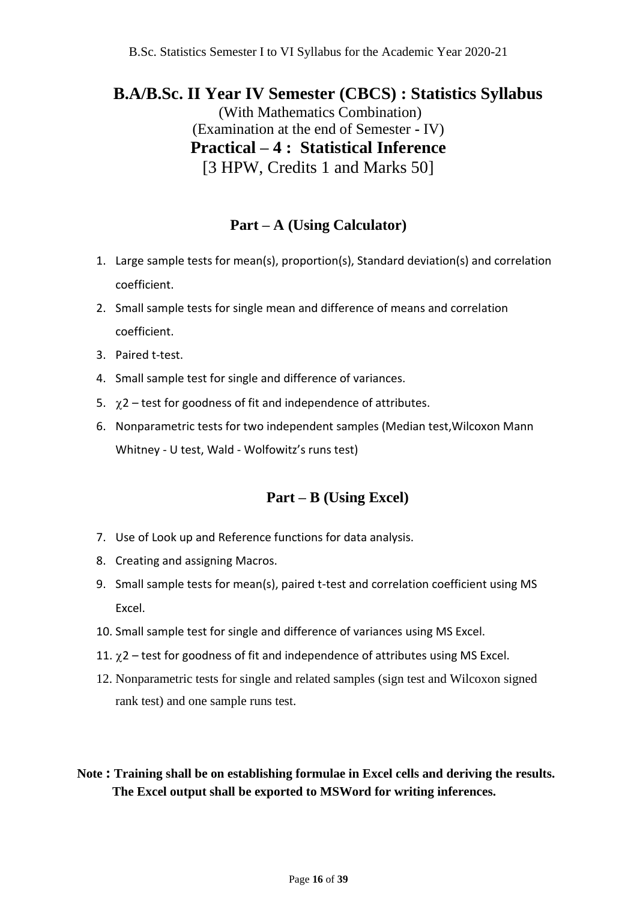## **B.A/B.Sc. II Year IV Semester (CBCS) : Statistics Syllabus**

(With Mathematics Combination) (Examination at the end of Semester **-** IV) **Practical – 4 : Statistical Inference**  [3 HPW, Credits 1 and Marks 50]

## **Part – A (Using Calculator)**

- 1. Large sample tests for mean(s), proportion(s), Standard deviation(s) and correlation coefficient.
- 2. Small sample tests for single mean and difference of means and correlation coefficient.
- 3. Paired t-test.
- 4. Small sample test for single and difference of variances.
- 5.  $\chi$ 2 test for goodness of fit and independence of attributes.
- 6. Nonparametric tests for two independent samples (Median test,Wilcoxon Mann Whitney - U test, Wald - Wolfowitz's runs test)

## **Part – B (Using Excel)**

- 7. Use of Look up and Reference functions for data analysis.
- 8. Creating and assigning Macros.
- 9. Small sample tests for mean(s), paired t-test and correlation coefficient using MS Excel.
- 10. Small sample test for single and difference of variances using MS Excel.
- 11.  $\gamma$ 2 test for goodness of fit and independence of attributes using MS Excel.
- 12. Nonparametric tests for single and related samples (sign test and Wilcoxon signed rank test) and one sample runs test.

## **Note : Training shall be on establishing formulae in Excel cells and deriving the results. The Excel output shall be exported to MSWord for writing inferences.**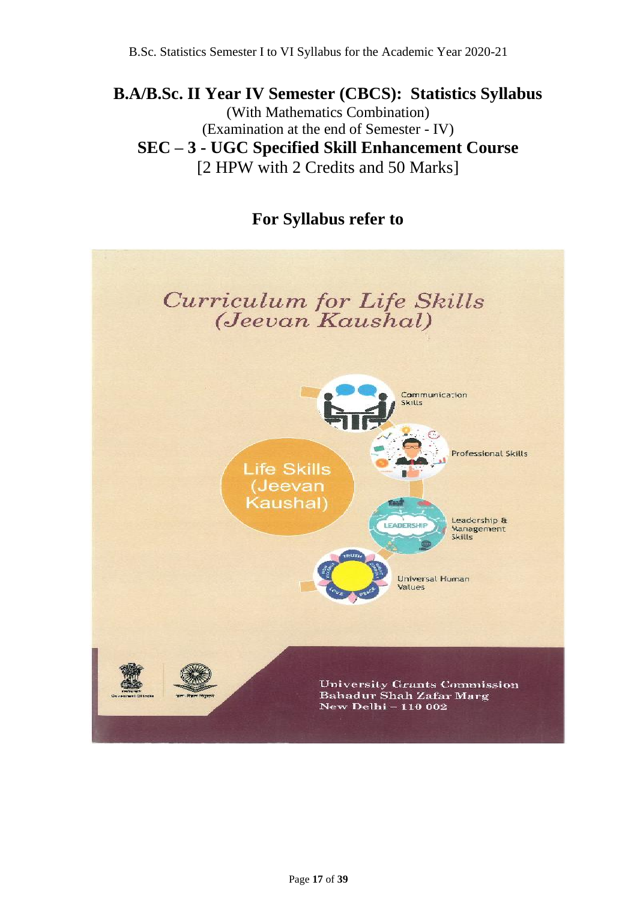## **B.A/B.Sc. II Year IV Semester (CBCS): Statistics Syllabus** (With Mathematics Combination) (Examination at the end of Semester - IV) **SEC – 3 - UGC Specified Skill Enhancement Course** [2 HPW with 2 Credits and 50 Marks]

## **For Syllabus refer to**

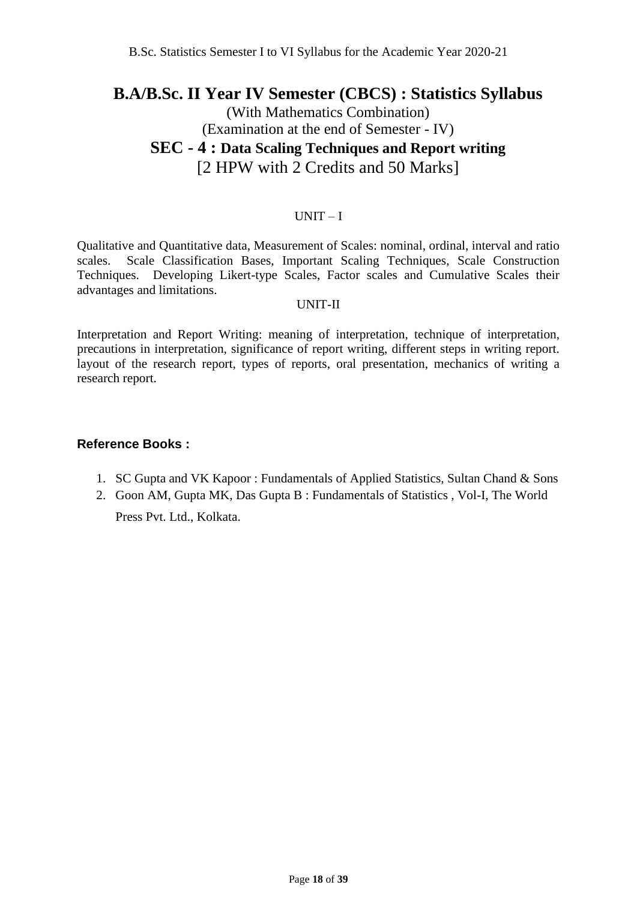## **B.A/B.Sc. II Year IV Semester (CBCS) : Statistics Syllabus**

## (With Mathematics Combination) (Examination at the end of Semester - IV) **SEC - 4 : Data Scaling Techniques and Report writing** [2 HPW with 2 Credits and 50 Marks]

#### UNIT – I

Qualitative and Quantitative data, Measurement of Scales: nominal, ordinal, interval and ratio scales. Scale Classification Bases, Important Scaling Techniques, Scale Construction Techniques. Developing Likert-type Scales, Factor scales and Cumulative Scales their advantages and limitations.

#### UNIT-II

Interpretation and Report Writing: meaning of interpretation, technique of interpretation, precautions in interpretation, significance of report writing, different steps in writing report. layout of the research report, types of reports, oral presentation, mechanics of writing a research report.

### **Reference Books :**

- 1. SC Gupta and VK Kapoor : Fundamentals of Applied Statistics, Sultan Chand & Sons
- 2. Goon AM, Gupta MK, Das Gupta B : Fundamentals of Statistics , Vol-I, The World Press Pvt. Ltd., Kolkata.

Page **18** of **39**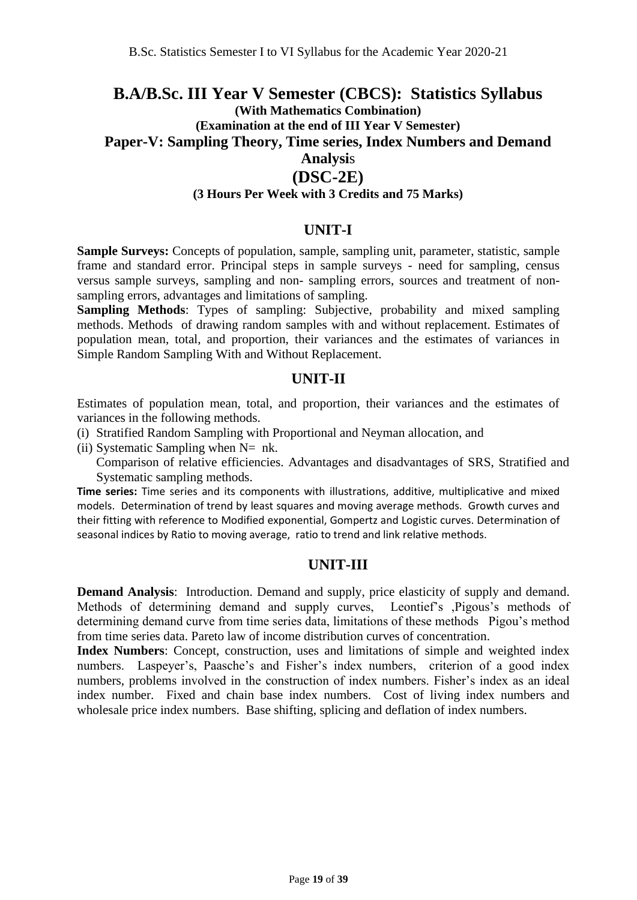## **B.A/B.Sc. III Year V Semester (CBCS): Statistics Syllabus (With Mathematics Combination) (Examination at the end of III Year V Semester) Paper-V: Sampling Theory, Time series, Index Numbers and Demand Analysi**s **(DSC-2E)**

#### **(3 Hours Per Week with 3 Credits and 75 Marks)**

#### **UNIT-I**

**Sample Surveys:** Concepts of population, sample, sampling unit, parameter, statistic, sample frame and standard error. Principal steps in sample surveys - need for sampling, census versus sample surveys, sampling and non- sampling errors, sources and treatment of nonsampling errors, advantages and limitations of sampling.

**Sampling Methods:** Types of sampling: Subjective, probability and mixed sampling methods. Methods of drawing random samples with and without replacement. Estimates of population mean, total, and proportion, their variances and the estimates of variances in Simple Random Sampling With and Without Replacement.

#### **UNIT-II**

Estimates of population mean, total, and proportion, their variances and the estimates of variances in the following methods.

(i) Stratified Random Sampling with Proportional and Neyman allocation, and

(ii) Systematic Sampling when  $N=$  nk.

Comparison of relative efficiencies. Advantages and disadvantages of SRS, Stratified and Systematic sampling methods.

**Time series:** Time series and its components with illustrations, additive, multiplicative and mixed models. Determination of trend by least squares and moving average methods. Growth curves and their fitting with reference to Modified exponential, Gompertz and Logistic curves. Determination of seasonal indices by Ratio to moving average, ratio to trend and link relative methods.

#### **UNIT-III**

**Demand Analysis**: Introduction. Demand and supply, price elasticity of supply and demand. Methods of determining demand and supply curves, Leontief's ,Pigous's methods of determining demand curve from time series data, limitations of these methods Pigou's method from time series data. Pareto law of income distribution curves of concentration.

**Index Numbers**: Concept, construction, uses and limitations of simple and weighted index numbers. Laspeyer's, Paasche's and Fisher's index numbers, criterion of a good index numbers, problems involved in the construction of index numbers. Fisher's index as an ideal index number. Fixed and chain base index numbers. Cost of living index numbers and wholesale price index numbers. Base shifting, splicing and deflation of index numbers.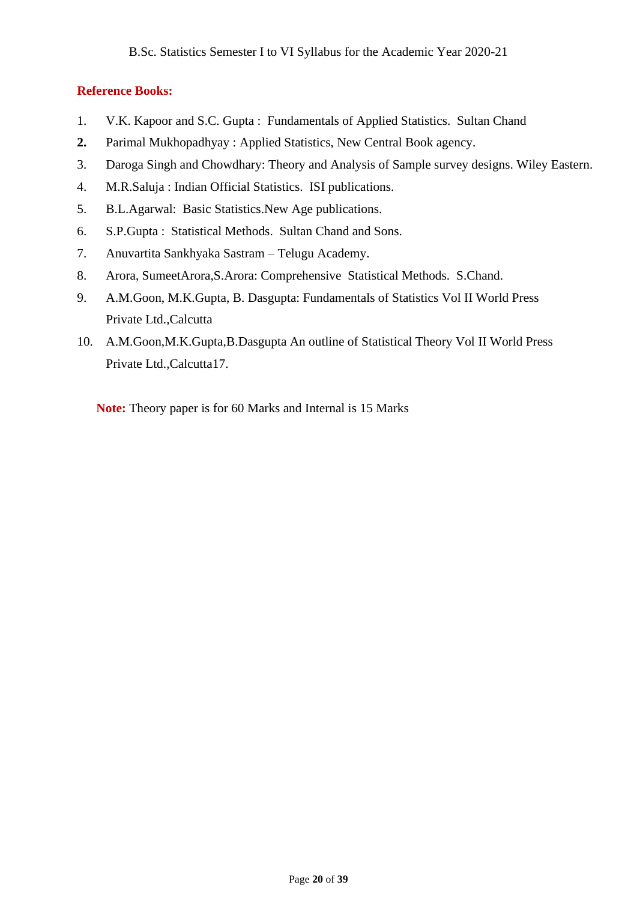### **Reference Books:**

- 1. V.K. Kapoor and S.C. Gupta : Fundamentals of Applied Statistics. Sultan Chand
- **2.** Parimal Mukhopadhyay : Applied Statistics, New Central Book agency.
- 3. Daroga Singh and Chowdhary: Theory and Analysis of Sample survey designs. Wiley Eastern.
- 4. M.R.Saluja : Indian Official Statistics. ISI publications.
- 5. B.L.Agarwal: Basic Statistics.New Age publications.
- 6. S.P.Gupta : Statistical Methods. Sultan Chand and Sons.
- 7. Anuvartita Sankhyaka Sastram Telugu Academy.
- 8. Arora, SumeetArora,S.Arora: Comprehensive Statistical Methods. S.Chand.
- 9. A.M.Goon, M.K.Gupta, B. Dasgupta: Fundamentals of Statistics Vol II World Press Private Ltd.,Calcutta
- 10. A.M.Goon,M.K.Gupta,B.Dasgupta An outline of Statistical Theory Vol II World Press Private Ltd.,Calcutta17.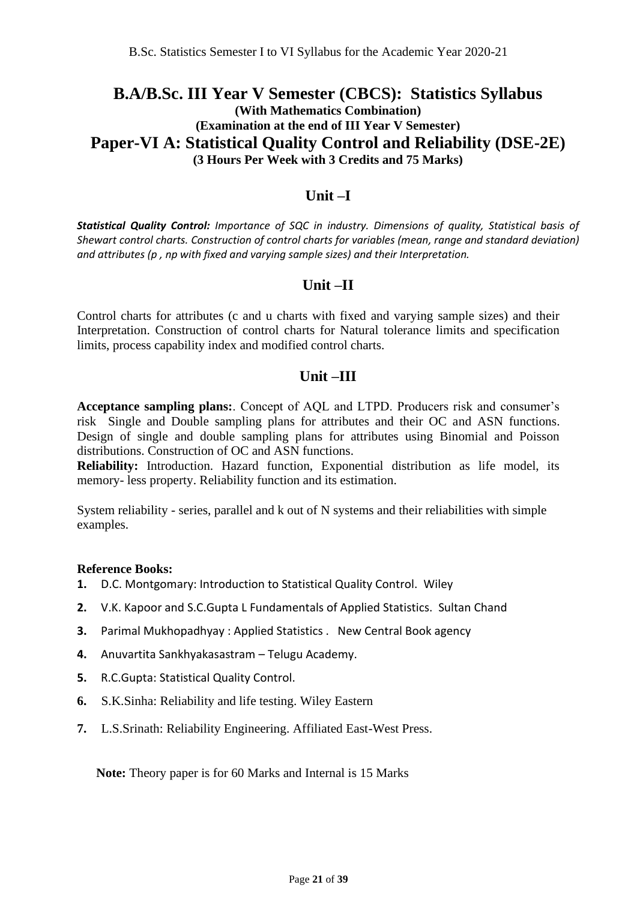## **B.A/B.Sc. III Year V Semester (CBCS): Statistics Syllabus (With Mathematics Combination) (Examination at the end of III Year V Semester) Paper-VI A: Statistical Quality Control and Reliability (DSE-2E) (3 Hours Per Week with 3 Credits and 75 Marks)**

### **Unit –I**

*Statistical Quality Control: Importance of SQC in industry. Dimensions of quality, Statistical basis of Shewart control charts. Construction of control charts for variables (mean, range and standard deviation) and attributes (p , np with fixed and varying sample sizes) and their Interpretation.*

### **Unit –II**

Control charts for attributes (c and u charts with fixed and varying sample sizes) and their Interpretation. Construction of control charts for Natural tolerance limits and specification limits, process capability index and modified control charts.

#### **Unit –III**

**Acceptance sampling plans:**. Concept of AQL and LTPD. Producers risk and consumer's risk Single and Double sampling plans for attributes and their OC and ASN functions. Design of single and double sampling plans for attributes using Binomial and Poisson distributions. Construction of OC and ASN functions.

**Reliability:** Introduction. Hazard function, Exponential distribution as life model, its memory- less property. Reliability function and its estimation.

System reliability - series, parallel and k out of N systems and their reliabilities with simple examples.

#### **Reference Books:**

- **1.** D.C. Montgomary: Introduction to Statistical Quality Control. Wiley
- **2.** V.K. Kapoor and S.C.Gupta L Fundamentals of Applied Statistics. Sultan Chand
- **3.** Parimal Mukhopadhyay : Applied Statistics . New Central Book agency
- **4.** Anuvartita Sankhyakasastram Telugu Academy.
- **5.** R.C.Gupta: Statistical Quality Control.
- **6.** S.K.Sinha: Reliability and life testing. Wiley Eastern
- **7.** L.S.Srinath: Reliability Engineering. Affiliated East-West Press.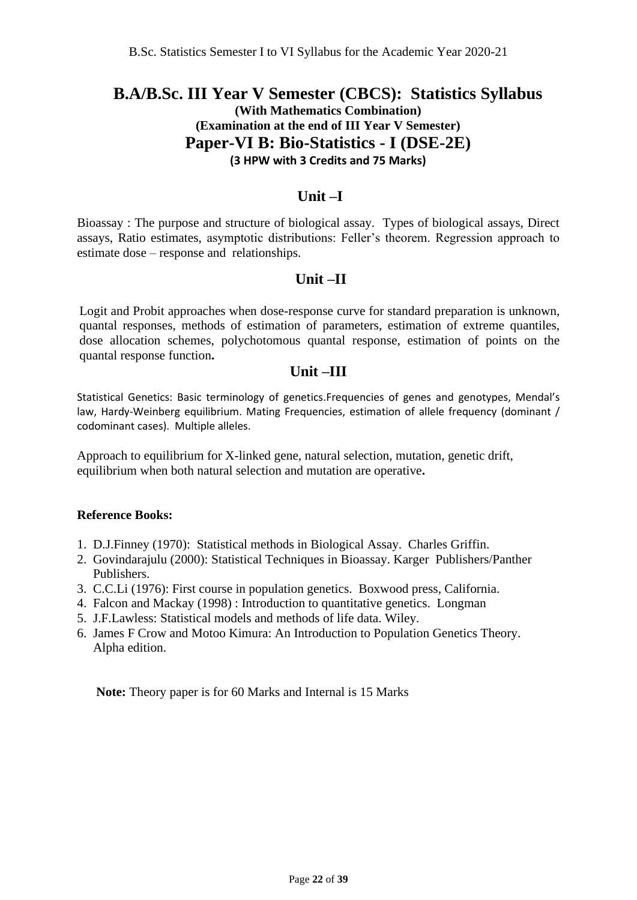## **B.A/B.Sc. III Year V Semester (CBCS): Statistics Syllabus (With Mathematics Combination) (Examination at the end of III Year V Semester) Paper-VI B: Bio-Statistics - I (DSE-2E) (3 HPW with 3 Credits and 75 Marks)**

### **Unit –I**

Bioassay : The purpose and structure of biological assay. Types of biological assays, Direct assays, Ratio estimates, asymptotic distributions: Feller's theorem. Regression approach to estimate dose – response and relationships.

### **Unit –II**

Logit and Probit approaches when dose-response curve for standard preparation is unknown, quantal responses, methods of estimation of parameters, estimation of extreme quantiles, dose allocation schemes, polychotomous quantal response, estimation of points on the quantal response function**.** 

### **Unit –III**

Statistical Genetics: Basic terminology of genetics.Frequencies of genes and genotypes, Mendal's law, Hardy-Weinberg equilibrium. Mating Frequencies, estimation of allele frequency (dominant / codominant cases). Multiple alleles.

Approach to equilibrium for X-linked gene, natural selection, mutation, genetic drift, equilibrium when both natural selection and mutation are operative**.** 

#### **Reference Books:**

- 1. D.J.Finney (1970): Statistical methods in Biological Assay. Charles Griffin.
- 2. Govindarajulu (2000): Statistical Techniques in Bioassay. Karger Publishers/Panther Publishers.
- 3. C.C.Li (1976): First course in population genetics. Boxwood press, California.
- 4. Falcon and Mackay (1998) : Introduction to quantitative genetics. Longman
- 5. J.F.Lawless: Statistical models and methods of life data. Wiley.
- 6. James F Crow and Motoo Kimura: An Introduction to Population Genetics Theory. Alpha edition.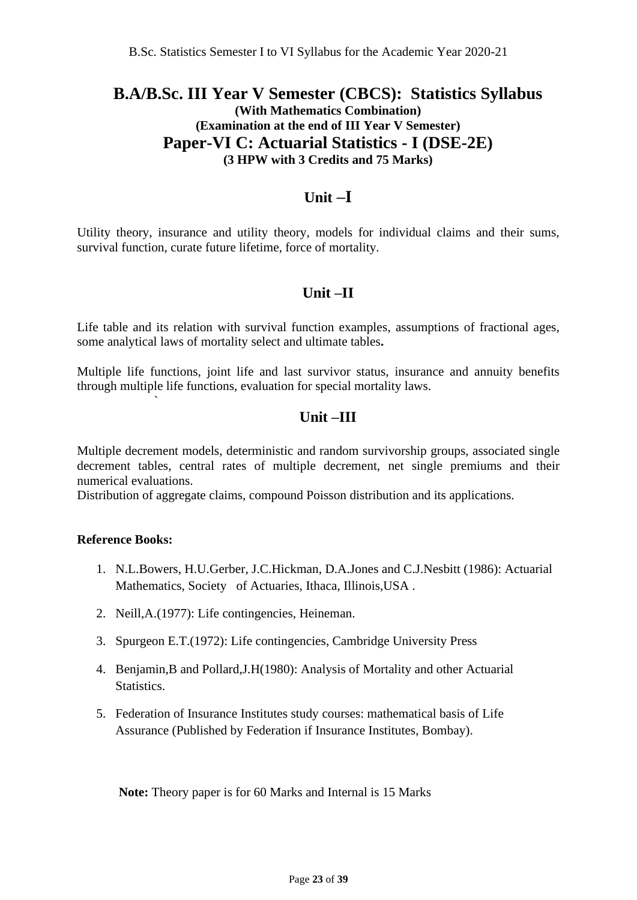## **B.A/B.Sc. III Year V Semester (CBCS): Statistics Syllabus (With Mathematics Combination) (Examination at the end of III Year V Semester) Paper-VI C: Actuarial Statistics - I (DSE-2E) (3 HPW with 3 Credits and 75 Marks)**

## **Unit –I**

Utility theory, insurance and utility theory, models for individual claims and their sums, survival function, curate future lifetime, force of mortality.

## **Unit –II**

Life table and its relation with survival function examples, assumptions of fractional ages, some analytical laws of mortality select and ultimate tables**.** 

Multiple life functions, joint life and last survivor status, insurance and annuity benefits through multiple life functions, evaluation for special mortality laws.

### **Unit –III**

Multiple decrement models, deterministic and random survivorship groups, associated single decrement tables, central rates of multiple decrement, net single premiums and their numerical evaluations.

Distribution of aggregate claims, compound Poisson distribution and its applications.

#### **Reference Books:**

`

- 1. N.L.Bowers, H.U.Gerber, J.C.Hickman, D.A.Jones and C.J.Nesbitt (1986): Actuarial Mathematics, Society of Actuaries, Ithaca, Illinois,USA .
- 2. Neill,A.(1977): Life contingencies, Heineman.
- 3. Spurgeon E.T.(1972): Life contingencies, Cambridge University Press
- 4. Benjamin,B and Pollard,J.H(1980): Analysis of Mortality and other Actuarial **Statistics**
- 5. Federation of Insurance Institutes study courses: mathematical basis of Life Assurance (Published by Federation if Insurance Institutes, Bombay).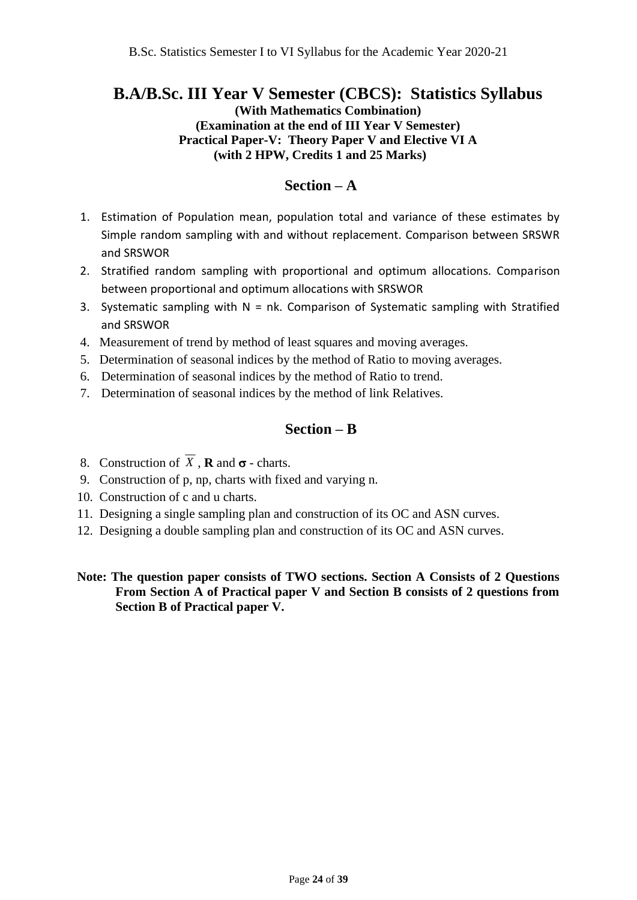## **B.A/B.Sc. III Year V Semester (CBCS): Statistics Syllabus**

**(With Mathematics Combination) (Examination at the end of III Year V Semester) Practical Paper-V: Theory Paper V and Elective VI A (with 2 HPW, Credits 1 and 25 Marks)**

### **Section – A**

- 1. Estimation of Population mean, population total and variance of these estimates by Simple random sampling with and without replacement. Comparison between SRSWR and SRSWOR
- 2. Stratified random sampling with proportional and optimum allocations. Comparison between proportional and optimum allocations with SRSWOR
- 3. Systematic sampling with  $N = nk$ . Comparison of Systematic sampling with Stratified and SRSWOR
- 4. Measurement of trend by method of least squares and moving averages.
- 5. Determination of seasonal indices by the method of Ratio to moving averages.
- 6. Determination of seasonal indices by the method of Ratio to trend.
- 7. Determination of seasonal indices by the method of link Relatives.

## **Section – B**

- 8. Construction of  $X$ , **R** and  $\sigma$  charts.
- 9. Construction of p, np, charts with fixed and varying n.
- 10. Construction of c and u charts.
- 11. Designing a single sampling plan and construction of its OC and ASN curves.
- 12. Designing a double sampling plan and construction of its OC and ASN curves.

#### **Note: The question paper consists of TWO sections. Section A Consists of 2 Questions From Section A of Practical paper V and Section B consists of 2 questions from Section B of Practical paper V.**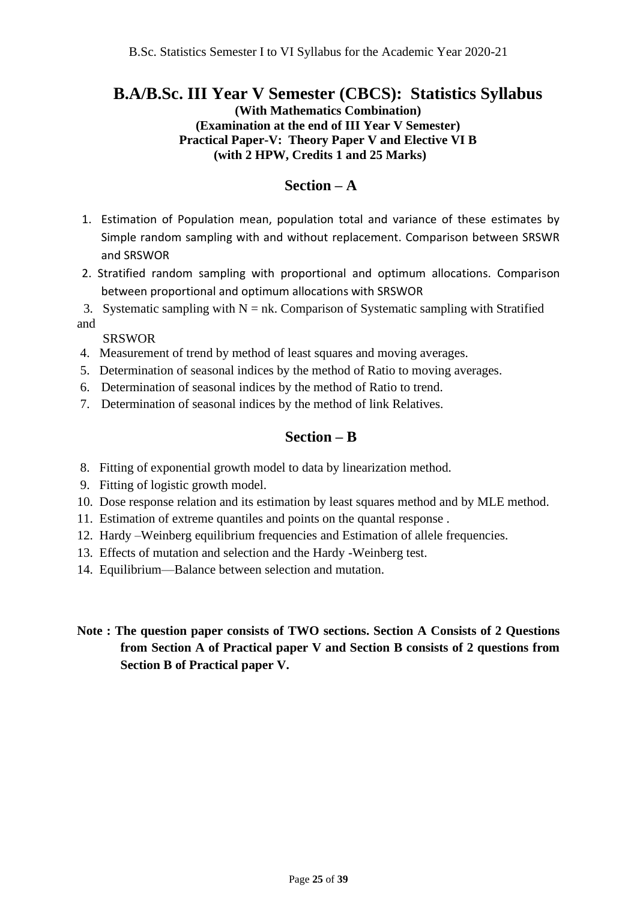## **B.A/B.Sc. III Year V Semester (CBCS): Statistics Syllabus**

**(With Mathematics Combination) (Examination at the end of III Year V Semester) Practical Paper-V: Theory Paper V and Elective VI B (with 2 HPW, Credits 1 and 25 Marks)**

### **Section – A**

- 1. Estimation of Population mean, population total and variance of these estimates by Simple random sampling with and without replacement. Comparison between SRSWR and SRSWOR
- 2. Stratified random sampling with proportional and optimum allocations. Comparison between proportional and optimum allocations with SRSWOR

3. Systematic sampling with  $N = nk$ . Comparison of Systematic sampling with Stratified and

#### SRSWOR

- 4. Measurement of trend by method of least squares and moving averages.
- 5. Determination of seasonal indices by the method of Ratio to moving averages.
- 6. Determination of seasonal indices by the method of Ratio to trend.
- 7. Determination of seasonal indices by the method of link Relatives.

## **Section – B**

- 8. Fitting of exponential growth model to data by linearization method.
- 9. Fitting of logistic growth model.
- 10. Dose response relation and its estimation by least squares method and by MLE method.
- 11. Estimation of extreme quantiles and points on the quantal response .
- 12. Hardy –Weinberg equilibrium frequencies and Estimation of allele frequencies.
- 13. Effects of mutation and selection and the Hardy -Weinberg test.
- 14. Equilibrium—Balance between selection and mutation.
- **Note : The question paper consists of TWO sections. Section A Consists of 2 Questions from Section A of Practical paper V and Section B consists of 2 questions from Section B of Practical paper V.**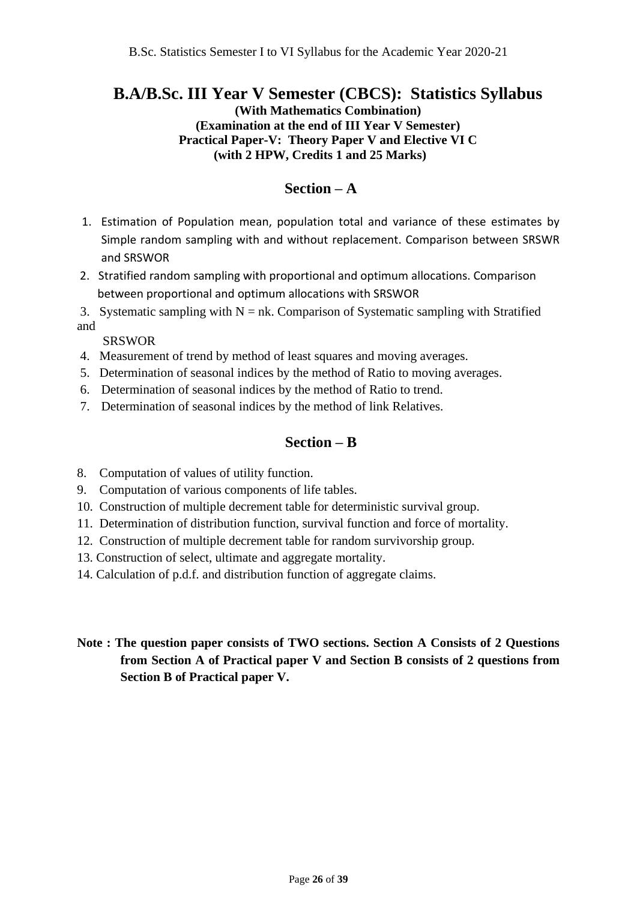## **B.A/B.Sc. III Year V Semester (CBCS): Statistics Syllabus**

**(With Mathematics Combination) (Examination at the end of III Year V Semester) Practical Paper-V: Theory Paper V and Elective VI C (with 2 HPW, Credits 1 and 25 Marks)**

### **Section – A**

- 1. Estimation of Population mean, population total and variance of these estimates by Simple random sampling with and without replacement. Comparison between SRSWR and SRSWOR
- 2. Stratified random sampling with proportional and optimum allocations. Comparison between proportional and optimum allocations with SRSWOR
- 3. Systematic sampling with  $N = nk$ . Comparison of Systematic sampling with Stratified and

SRSWOR

- 4. Measurement of trend by method of least squares and moving averages.
- 5. Determination of seasonal indices by the method of Ratio to moving averages.
- 6. Determination of seasonal indices by the method of Ratio to trend.
- 7. Determination of seasonal indices by the method of link Relatives.

### **Section – B**

- 8. Computation of values of utility function.
- 9. Computation of various components of life tables.
- 10. Construction of multiple decrement table for deterministic survival group.
- 11. Determination of distribution function, survival function and force of mortality.
- 12. Construction of multiple decrement table for random survivorship group.
- 13. Construction of select, ultimate and aggregate mortality.
- 14. Calculation of p.d.f. and distribution function of aggregate claims.

### **Note : The question paper consists of TWO sections. Section A Consists of 2 Questions from Section A of Practical paper V and Section B consists of 2 questions from Section B of Practical paper V.**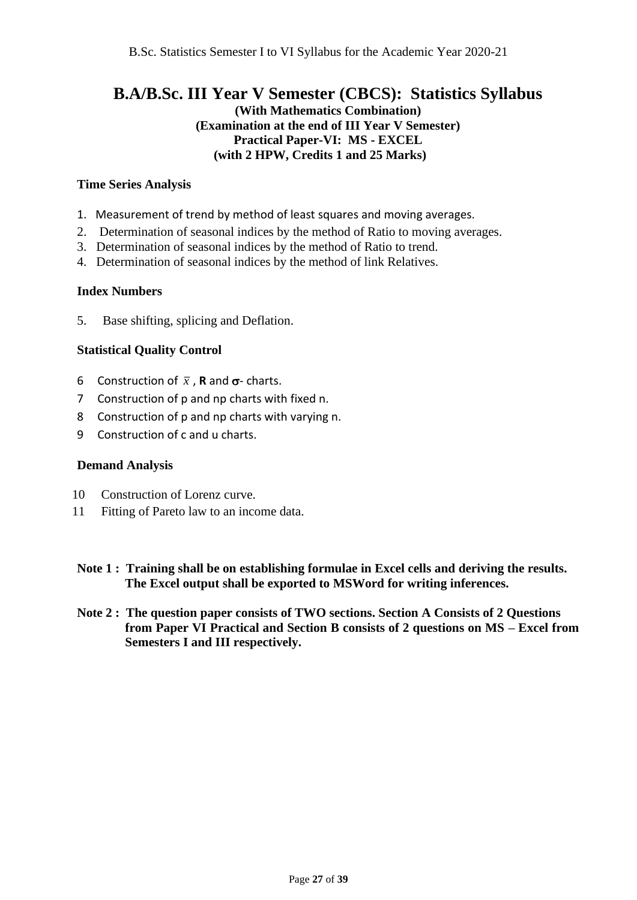## **B.A/B.Sc. III Year V Semester (CBCS): Statistics Syllabus (With Mathematics Combination) (Examination at the end of III Year V Semester) Practical Paper-VI: MS - EXCEL (with 2 HPW, Credits 1 and 25 Marks)**

#### **Time Series Analysis**

- 1. Measurement of trend by method of least squares and moving averages.
- 2. Determination of seasonal indices by the method of Ratio to moving averages.
- 3. Determination of seasonal indices by the method of Ratio to trend.
- 4. Determination of seasonal indices by the method of link Relatives.

#### **Index Numbers**

5. Base shifting, splicing and Deflation.

#### **Statistical Quality Control**

- 6 Construction of  $\bar{x}$ , **R** and  $\sigma$  charts.
- 7 Construction of p and np charts with fixed n.
- 8 Construction of p and np charts with varying n.
- 9 Construction of c and u charts.

#### **Demand Analysis**

- 10 Construction of Lorenz curve.
- 11 Fitting of Pareto law to an income data.
- **Note 1 : Training shall be on establishing formulae in Excel cells and deriving the results. The Excel output shall be exported to MSWord for writing inferences.**
- **Note 2 : The question paper consists of TWO sections. Section A Consists of 2 Questions from Paper VI Practical and Section B consists of 2 questions on MS – Excel from Semesters I and III respectively.**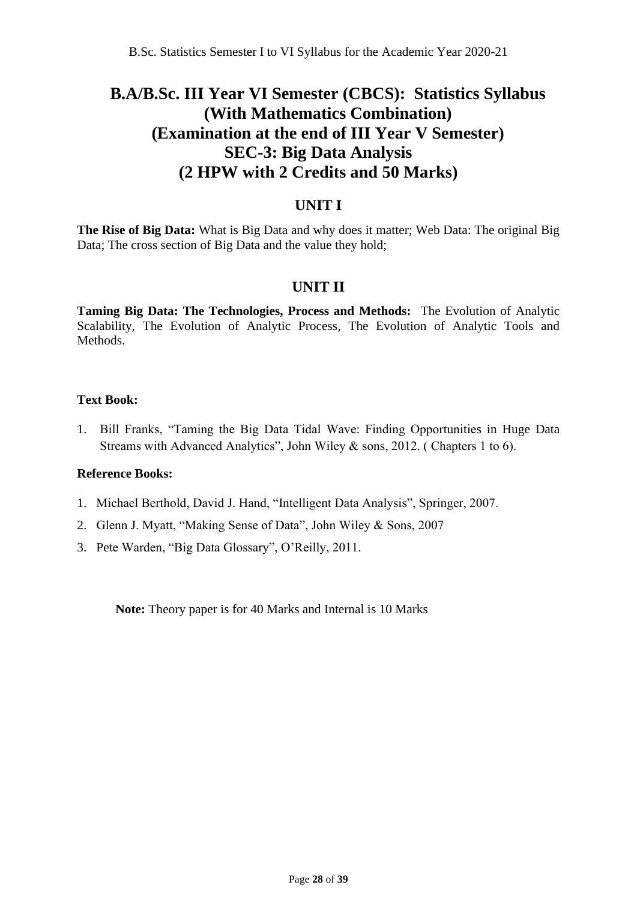## **B.A/B.Sc. III Year VI Semester (CBCS): Statistics Syllabus (With Mathematics Combination) (Examination at the end of III Year V Semester) SEC-3: Big Data Analysis (2 HPW with 2 Credits and 50 Marks)**

### **UNIT I**

**The Rise of Big Data:** What is Big Data and why does it matter; Web Data: The original Big Data; The cross section of Big Data and the value they hold;

## **UNIT II**

**Taming Big Data: The Technologies, Process and Methods:** The Evolution of Analytic Scalability, The Evolution of Analytic Process, The Evolution of Analytic Tools and Methods.

#### **Text Book:**

1. Bill Franks, "Taming the Big Data Tidal Wave: Finding Opportunities in Huge Data Streams with Advanced Analytics", John Wiley & sons, 2012. ( Chapters 1 to 6).

#### **Reference Books:**

- 1. Michael Berthold, David J. Hand, "Intelligent Data Analysis", Springer, 2007.
- 2. Glenn J. Myatt, "Making Sense of Data", John Wiley & Sons, 2007
- 3. Pete Warden, "Big Data Glossary", O'Reilly, 2011.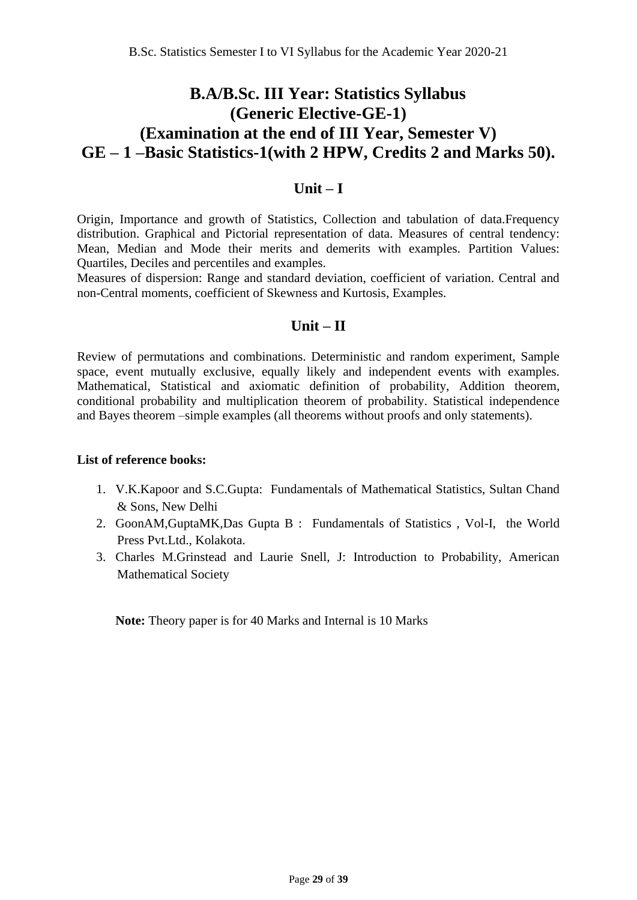## **B.A/B.Sc. III Year: Statistics Syllabus (Generic Elective-GE-1) (Examination at the end of III Year, Semester V) GE – 1 –Basic Statistics-1(with 2 HPW, Credits 2 and Marks 50).**

### **Unit – I**

Origin, Importance and growth of Statistics, Collection and tabulation of data.Frequency distribution. Graphical and Pictorial representation of data. Measures of central tendency: Mean, Median and Mode their merits and demerits with examples. Partition Values: Quartiles, Deciles and percentiles and examples.

Measures of dispersion: Range and standard deviation, coefficient of variation. Central and non-Central moments, coefficient of Skewness and Kurtosis, Examples.

## **Unit – II**

Review of permutations and combinations. Deterministic and random experiment, Sample space, event mutually exclusive, equally likely and independent events with examples. Mathematical, Statistical and axiomatic definition of probability, Addition theorem, conditional probability and multiplication theorem of probability. Statistical independence and Bayes theorem –simple examples (all theorems without proofs and only statements).

#### **List of reference books:**

- 1. V.K.Kapoor and S.C.Gupta: Fundamentals of Mathematical Statistics, Sultan Chand & Sons, New Delhi
- 2. GoonAM,GuptaMK,Das Gupta B : Fundamentals of Statistics , Vol-I, the World Press Pvt.Ltd., Kolakota.
- 3. Charles M.Grinstead and Laurie Snell, J: Introduction to Probability, American Mathematical Society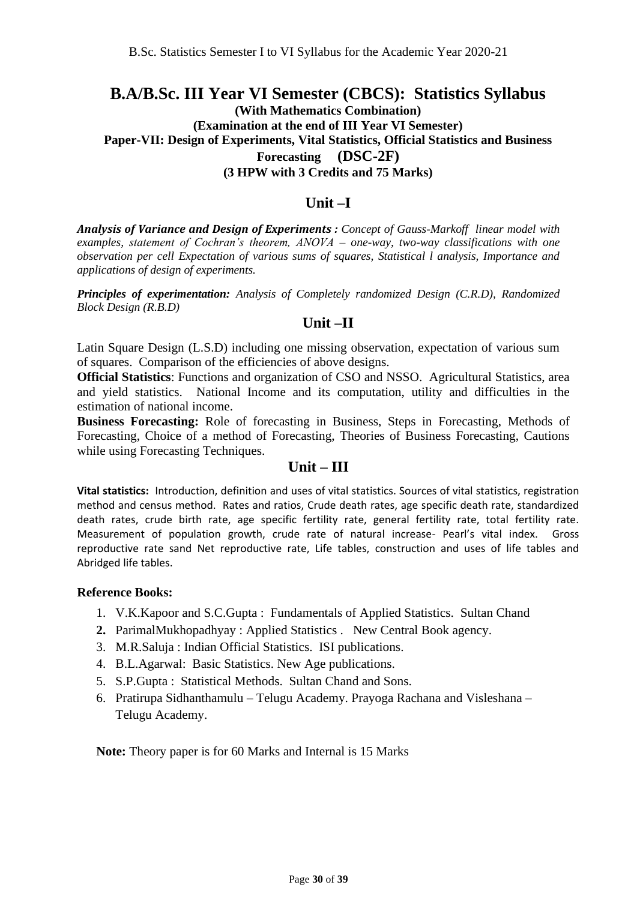## **B.A/B.Sc. III Year VI Semester (CBCS): Statistics Syllabus (With Mathematics Combination) (Examination at the end of III Year VI Semester) Paper-VII: Design of Experiments, Vital Statistics, Official Statistics and Business Forecasting (DSC-2F)**

**(3 HPW with 3 Credits and 75 Marks)**

### **Unit –I**

*Analysis of Variance and Design of Experiments : Concept of Gauss-Markoff linear model with examples, statement of Cochran's theorem, ANOVA – one-way, two-way classifications with one observation per cell Expectation of various sums of squares, Statistical l analysis, Importance and applications of design of experiments.* 

*Principles of experimentation: Analysis of Completely randomized Design (C.R.D), Randomized Block Design (R.B.D)*

#### **Unit –II**

Latin Square Design (L.S.D) including one missing observation, expectation of various sum of squares. Comparison of the efficiencies of above designs.

**Official Statistics**: Functions and organization of CSO and NSSO. Agricultural Statistics, area and yield statistics. National Income and its computation, utility and difficulties in the estimation of national income.

**Business Forecasting:** Role of forecasting in Business, Steps in Forecasting, Methods of Forecasting, Choice of a method of Forecasting, Theories of Business Forecasting, Cautions while using Forecasting Techniques.

#### **Unit – III**

**Vital statistics:** Introduction, definition and uses of vital statistics. Sources of vital statistics, registration method and census method. Rates and ratios, Crude death rates, age specific death rate, standardized death rates, crude birth rate, age specific fertility rate, general fertility rate, total fertility rate. Measurement of population growth, crude rate of natural increase- Pearl's vital index. Gross reproductive rate sand Net reproductive rate, Life tables, construction and uses of life tables and Abridged life tables.

#### **Reference Books:**

- 1. V.K.Kapoor and S.C.Gupta : Fundamentals of Applied Statistics. Sultan Chand
- **2.** ParimalMukhopadhyay : Applied Statistics . New Central Book agency.
- 3. M.R.Saluja : Indian Official Statistics. ISI publications.
- 4. B.L.Agarwal: Basic Statistics. New Age publications.
- 5. S.P.Gupta : Statistical Methods. Sultan Chand and Sons.
- 6. Pratirupa Sidhanthamulu Telugu Academy. Prayoga Rachana and Visleshana Telugu Academy.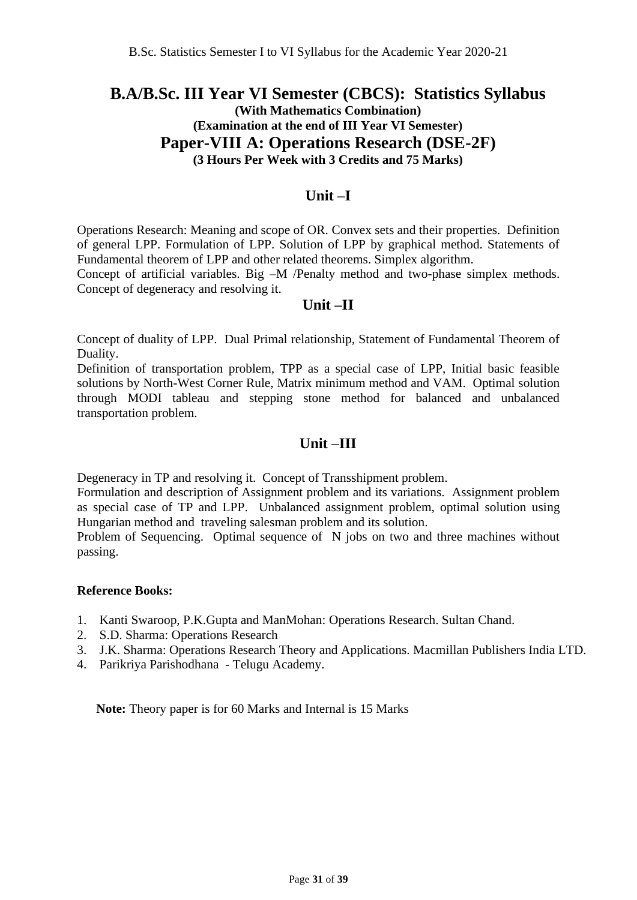## **B.A/B.Sc. III Year VI Semester (CBCS): Statistics Syllabus (With Mathematics Combination) (Examination at the end of III Year VI Semester) Paper-VIII A: Operations Research (DSE-2F) (3 Hours Per Week with 3 Credits and 75 Marks)**

### **Unit –I**

Operations Research: Meaning and scope of OR. Convex sets and their properties. Definition of general LPP. Formulation of LPP. Solution of LPP by graphical method. Statements of Fundamental theorem of LPP and other related theorems. Simplex algorithm.

Concept of artificial variables. Big –M /Penalty method and two-phase simplex methods. Concept of degeneracy and resolving it.

### **Unit –II**

Concept of duality of LPP. Dual Primal relationship, Statement of Fundamental Theorem of Duality.

Definition of transportation problem, TPP as a special case of LPP, Initial basic feasible solutions by North-West Corner Rule, Matrix minimum method and VAM. Optimal solution through MODI tableau and stepping stone method for balanced and unbalanced transportation problem.

## **Unit –III**

Degeneracy in TP and resolving it. Concept of Transshipment problem.

Formulation and description of Assignment problem and its variations. Assignment problem as special case of TP and LPP. Unbalanced assignment problem, optimal solution using Hungarian method and traveling salesman problem and its solution.

Problem of Sequencing. Optimal sequence of N jobs on two and three machines without passing.

#### **Reference Books:**

- 1. Kanti Swaroop, P.K.Gupta and ManMohan: Operations Research. Sultan Chand.
- 2. S.D. Sharma: Operations Research
- 3. J.K. Sharma: Operations Research Theory and Applications. Macmillan Publishers India LTD.
- 4. Parikriya Parishodhana Telugu Academy.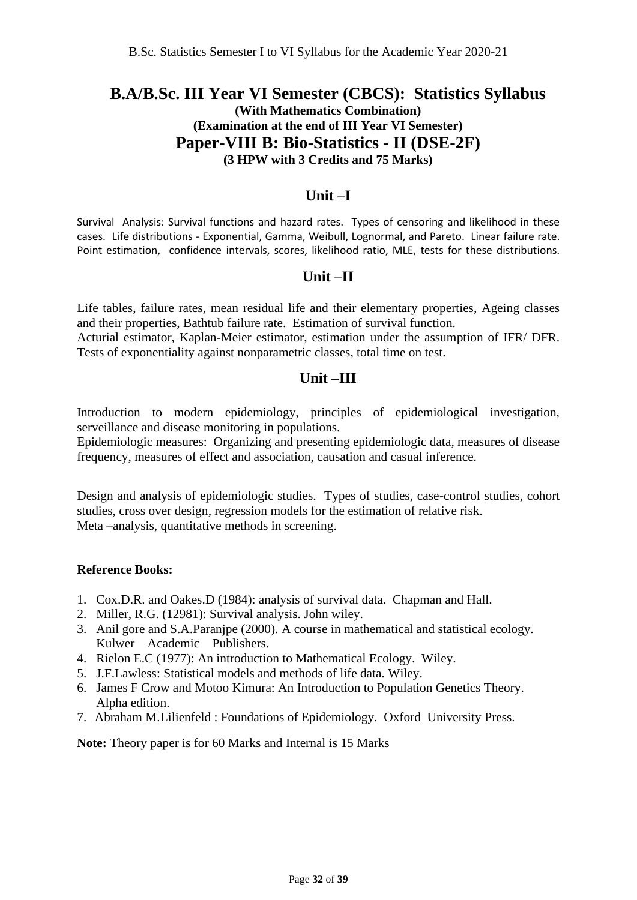## **B.A/B.Sc. III Year VI Semester (CBCS): Statistics Syllabus (With Mathematics Combination) (Examination at the end of III Year VI Semester) Paper-VIII B: Bio-Statistics - II (DSE-2F) (3 HPW with 3 Credits and 75 Marks)**

### **Unit –I**

Survival Analysis: Survival functions and hazard rates. Types of censoring and likelihood in these cases. Life distributions - Exponential, Gamma, Weibull, Lognormal, and Pareto. Linear failure rate. Point estimation, confidence intervals, scores, likelihood ratio, MLE, tests for these distributions.

#### **Unit –II**

Life tables, failure rates, mean residual life and their elementary properties, Ageing classes and their properties, Bathtub failure rate. Estimation of survival function.

Acturial estimator, Kaplan-Meier estimator, estimation under the assumption of IFR/ DFR. Tests of exponentiality against nonparametric classes, total time on test.

### **Unit –III**

Introduction to modern epidemiology, principles of epidemiological investigation, serveillance and disease monitoring in populations.

Epidemiologic measures: Organizing and presenting epidemiologic data, measures of disease frequency, measures of effect and association, causation and casual inference.

Design and analysis of epidemiologic studies. Types of studies, case-control studies, cohort studies, cross over design, regression models for the estimation of relative risk. Meta –analysis, quantitative methods in screening.

#### **Reference Books:**

- 1. Cox.D.R. and Oakes.D (1984): analysis of survival data. Chapman and Hall.
- 2. Miller, R.G. (12981): Survival analysis. John wiley.
- 3. Anil gore and S.A.Paranjpe (2000). A course in mathematical and statistical ecology. Kulwer Academic Publishers.
- 4. Rielon E.C (1977): An introduction to Mathematical Ecology. Wiley.
- 5. J.F.Lawless: Statistical models and methods of life data. Wiley.
- 6. James F Crow and Motoo Kimura: An Introduction to Population Genetics Theory. Alpha edition.
- 7. Abraham M.Lilienfeld : Foundations of Epidemiology. Oxford University Press.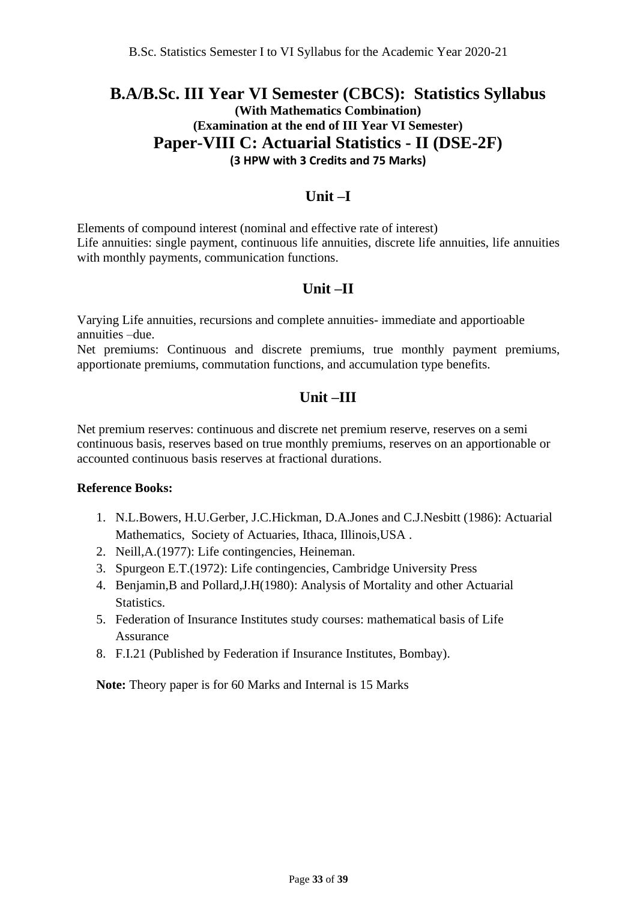## **B.A/B.Sc. III Year VI Semester (CBCS): Statistics Syllabus (With Mathematics Combination) (Examination at the end of III Year VI Semester) Paper-VIII C: Actuarial Statistics - II (DSE-2F) (3 HPW with 3 Credits and 75 Marks)**

### **Unit –I**

Elements of compound interest (nominal and effective rate of interest) Life annuities: single payment, continuous life annuities, discrete life annuities, life annuities with monthly payments, communication functions.

## **Unit –II**

Varying Life annuities, recursions and complete annuities- immediate and apportioable annuities –due.

Net premiums: Continuous and discrete premiums, true monthly payment premiums, apportionate premiums, commutation functions, and accumulation type benefits.

## **Unit –III**

Net premium reserves: continuous and discrete net premium reserve, reserves on a semi continuous basis, reserves based on true monthly premiums, reserves on an apportionable or accounted continuous basis reserves at fractional durations.

#### **Reference Books:**

- 1. N.L.Bowers, H.U.Gerber, J.C.Hickman, D.A.Jones and C.J.Nesbitt (1986): Actuarial Mathematics, Society of Actuaries, Ithaca, Illinois,USA .
- 2. Neill,A.(1977): Life contingencies, Heineman.
- 3. Spurgeon E.T.(1972): Life contingencies, Cambridge University Press
- 4. Benjamin,B and Pollard,J.H(1980): Analysis of Mortality and other Actuarial Statistics.
- 5. Federation of Insurance Institutes study courses: mathematical basis of Life Assurance
- 8. F.I.21 (Published by Federation if Insurance Institutes, Bombay).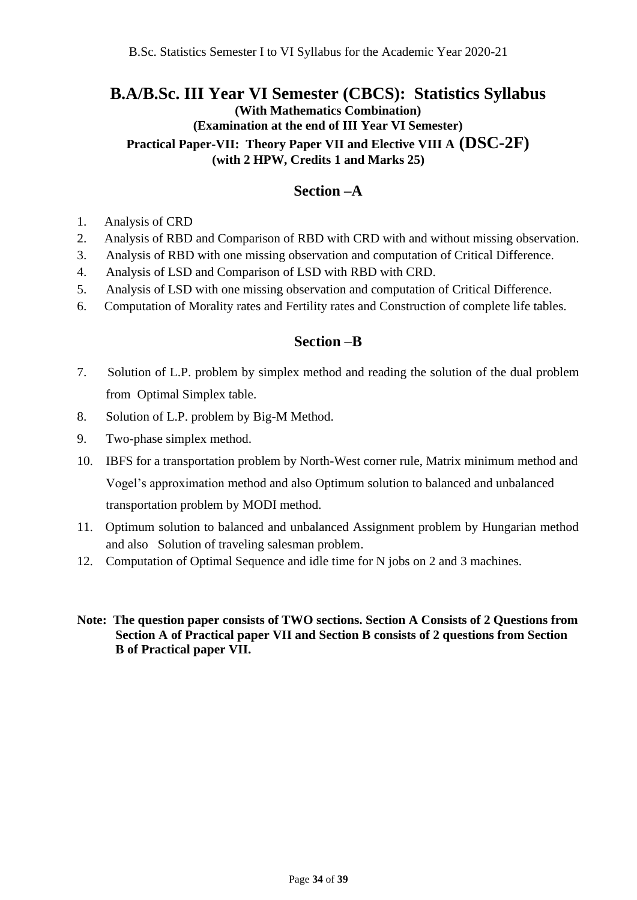## **B.A/B.Sc. III Year VI Semester (CBCS): Statistics Syllabus (With Mathematics Combination) (Examination at the end of III Year VI Semester) Practical Paper-VII: Theory Paper VII and Elective VIII A (DSC-2F) (with 2 HPW, Credits 1 and Marks 25)**

#### **Section –A**

- 1. Analysis of CRD
- 2. Analysis of RBD and Comparison of RBD with CRD with and without missing observation.
- 3. Analysis of RBD with one missing observation and computation of Critical Difference.
- 4. Analysis of LSD and Comparison of LSD with RBD with CRD.
- 5. Analysis of LSD with one missing observation and computation of Critical Difference.
- 6. Computation of Morality rates and Fertility rates and Construction of complete life tables.

#### **Section –B**

- 7. Solution of L.P. problem by simplex method and reading the solution of the dual problem from Optimal Simplex table.
- 8. Solution of L.P. problem by Big-M Method.
- 9. Two-phase simplex method.
- 10. IBFS for a transportation problem by North-West corner rule, Matrix minimum method and Vogel's approximation method and also Optimum solution to balanced and unbalanced transportation problem by MODI method.
- 11. Optimum solution to balanced and unbalanced Assignment problem by Hungarian method and also Solution of traveling salesman problem.
- 12. Computation of Optimal Sequence and idle time for N jobs on 2 and 3 machines.
- **Note: The question paper consists of TWO sections. Section A Consists of 2 Questions from Section A of Practical paper VII and Section B consists of 2 questions from Section B of Practical paper VII.**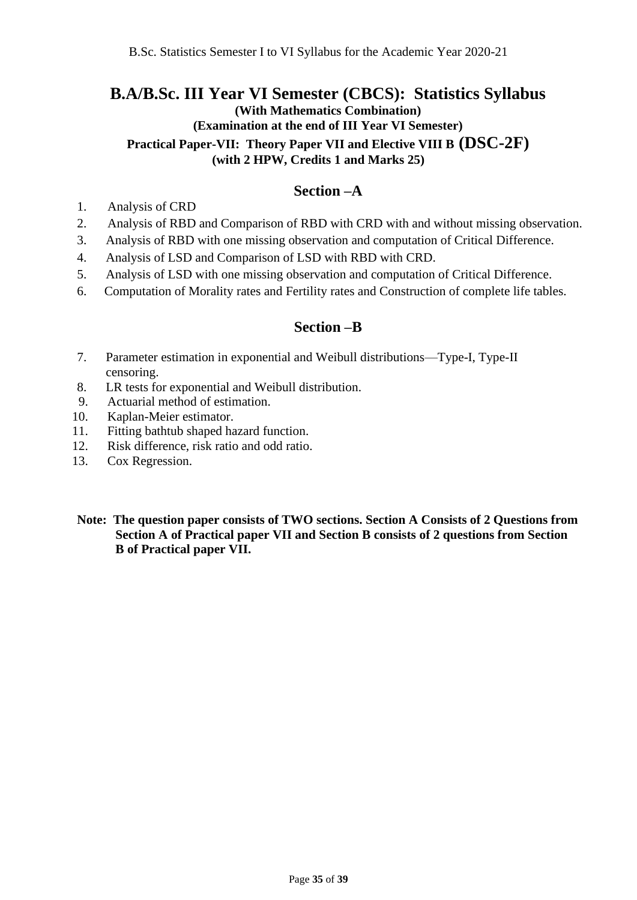## **B.A/B.Sc. III Year VI Semester (CBCS): Statistics Syllabus (With Mathematics Combination) (Examination at the end of III Year VI Semester) Practical Paper-VII: Theory Paper VII and Elective VIII B (DSC-2F)**

**(with 2 HPW, Credits 1 and Marks 25)**

### **Section –A**

- 1. Analysis of CRD
- 2. Analysis of RBD and Comparison of RBD with CRD with and without missing observation.
- 3. Analysis of RBD with one missing observation and computation of Critical Difference.
- 4. Analysis of LSD and Comparison of LSD with RBD with CRD.
- 5. Analysis of LSD with one missing observation and computation of Critical Difference.
- 6. Computation of Morality rates and Fertility rates and Construction of complete life tables.

### **Section –B**

- 7. Parameter estimation in exponential and Weibull distributions—Type-I, Type-II censoring.
- 8. LR tests for exponential and Weibull distribution.
- 9. Actuarial method of estimation.
- 10. Kaplan-Meier estimator.
- 11. Fitting bathtub shaped hazard function.
- 12. Risk difference, risk ratio and odd ratio.
- 13. Cox Regression.
- **Note: The question paper consists of TWO sections. Section A Consists of 2 Questions from Section A of Practical paper VII and Section B consists of 2 questions from Section B of Practical paper VII.**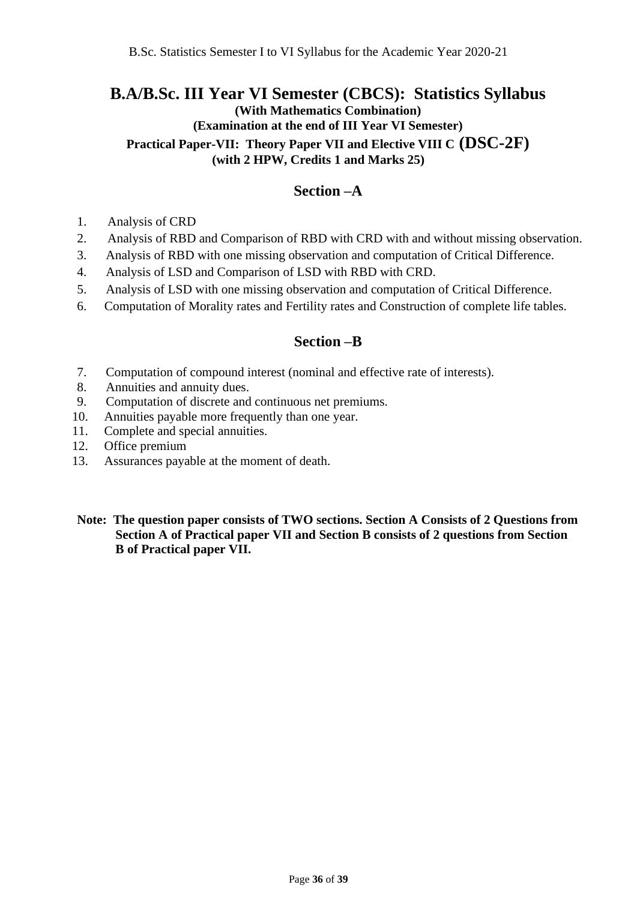### **B.A/B.Sc. III Year VI Semester (CBCS): Statistics Syllabus (With Mathematics Combination) (Examination at the end of III Year VI Semester)**

**Practical Paper-VII: Theory Paper VII and Elective VIII C (DSC-2F)**

**(with 2 HPW, Credits 1 and Marks 25)**

### **Section –A**

- 1. Analysis of CRD
- 2. Analysis of RBD and Comparison of RBD with CRD with and without missing observation.
- 3. Analysis of RBD with one missing observation and computation of Critical Difference.
- 4. Analysis of LSD and Comparison of LSD with RBD with CRD.
- 5. Analysis of LSD with one missing observation and computation of Critical Difference.
- 6. Computation of Morality rates and Fertility rates and Construction of complete life tables.

#### **Section –B**

- 7. Computation of compound interest (nominal and effective rate of interests).
- 8. Annuities and annuity dues.
- 9. Computation of discrete and continuous net premiums.
- 10. Annuities payable more frequently than one year.
- 11. Complete and special annuities.
- 12. Office premium
- 13. Assurances payable at the moment of death.
- **Note: The question paper consists of TWO sections. Section A Consists of 2 Questions from Section A of Practical paper VII and Section B consists of 2 questions from Section B of Practical paper VII.**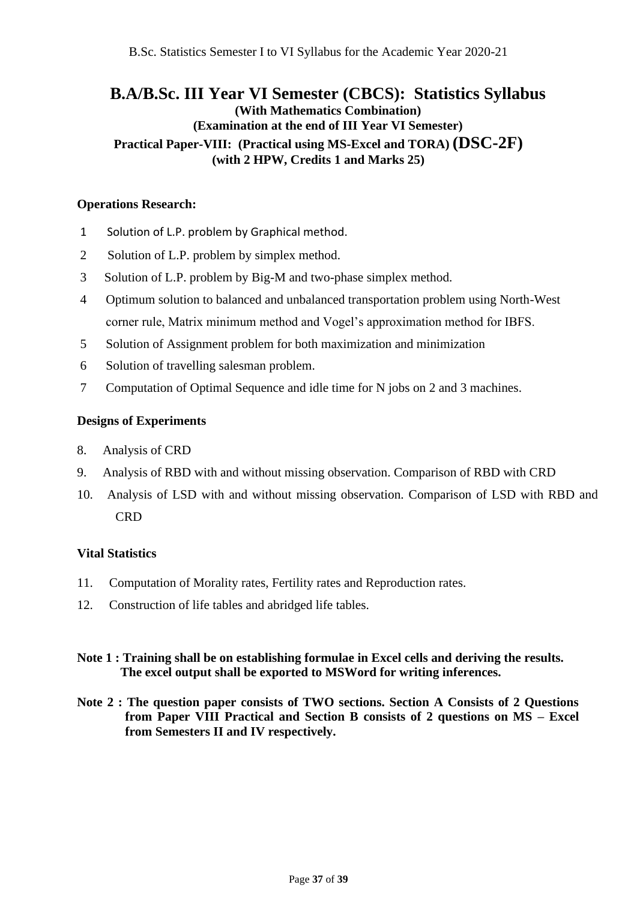## **B.A/B.Sc. III Year VI Semester (CBCS): Statistics Syllabus (With Mathematics Combination) (Examination at the end of III Year VI Semester) Practical Paper-VIII: (Practical using MS-Excel and TORA) (DSC-2F) (with 2 HPW, Credits 1 and Marks 25)**

#### **Operations Research:**

- 1 Solution of L.P. problem by Graphical method.
- 2 Solution of L.P. problem by simplex method.
- 3 Solution of L.P. problem by Big-M and two-phase simplex method.
- 4 Optimum solution to balanced and unbalanced transportation problem using North-West corner rule, Matrix minimum method and Vogel's approximation method for IBFS.
- 5 Solution of Assignment problem for both maximization and minimization
- 6 Solution of travelling salesman problem.
- 7 Computation of Optimal Sequence and idle time for N jobs on 2 and 3 machines.

#### **Designs of Experiments**

- 8. Analysis of CRD
- 9. Analysis of RBD with and without missing observation. Comparison of RBD with CRD
- 10. Analysis of LSD with and without missing observation. Comparison of LSD with RBD and **CRD**

#### **Vital Statistics**

- 11. Computation of Morality rates, Fertility rates and Reproduction rates.
- 12. Construction of life tables and abridged life tables.

#### **Note 1 : Training shall be on establishing formulae in Excel cells and deriving the results. The excel output shall be exported to MSWord for writing inferences.**

**Note 2 : The question paper consists of TWO sections. Section A Consists of 2 Questions from Paper VIII Practical and Section B consists of 2 questions on MS – Excel from Semesters II and IV respectively.**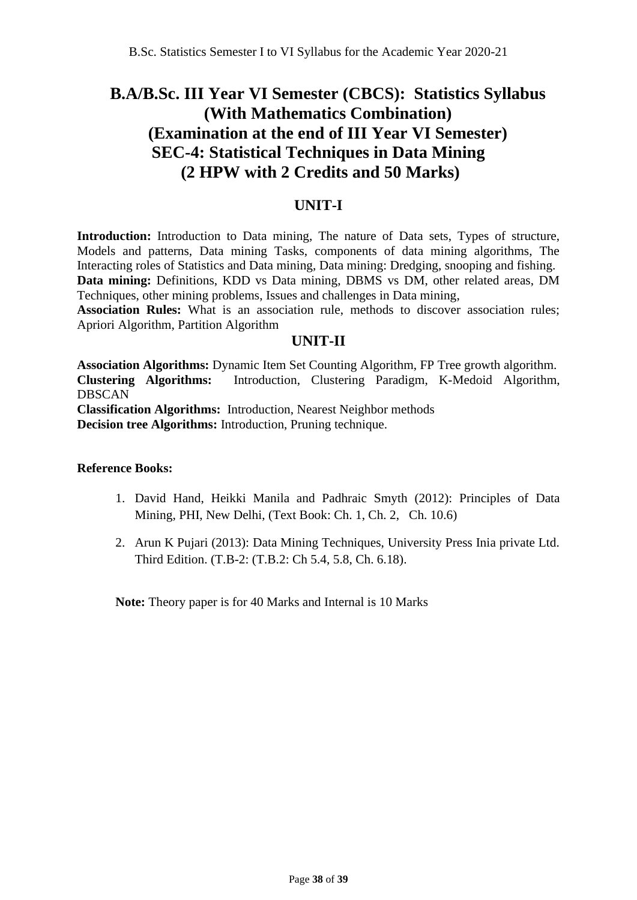## **B.A/B.Sc. III Year VI Semester (CBCS): Statistics Syllabus (With Mathematics Combination) (Examination at the end of III Year VI Semester) SEC-4: Statistical Techniques in Data Mining (2 HPW with 2 Credits and 50 Marks)**

### **UNIT-I**

**Introduction:** Introduction to Data mining, The nature of Data sets, Types of structure, Models and patterns, Data mining Tasks, components of data mining algorithms, The Interacting roles of Statistics and Data mining, Data mining: Dredging, snooping and fishing. **Data mining:** Definitions, KDD vs Data mining, DBMS vs DM, other related areas, DM Techniques, other mining problems, Issues and challenges in Data mining,

**Association Rules:** What is an association rule, methods to discover association rules; Apriori Algorithm, Partition Algorithm

### **UNIT-II**

**Association Algorithms:** Dynamic Item Set Counting Algorithm, FP Tree growth algorithm. **Clustering Algorithms:** Introduction, Clustering Paradigm, K-Medoid Algorithm, DBSCAN

**Classification Algorithms:** Introduction, Nearest Neighbor methods **Decision tree Algorithms:** Introduction, Pruning technique.

#### **Reference Books:**

- 1. David Hand, Heikki Manila and Padhraic Smyth (2012): Principles of Data Mining, PHI, New Delhi, (Text Book: Ch. 1, Ch. 2, Ch. 10.6)
- 2. Arun K Pujari (2013): Data Mining Techniques, University Press Inia private Ltd. Third Edition. (T.B-2: (T.B.2: Ch 5.4, 5.8, Ch. 6.18).